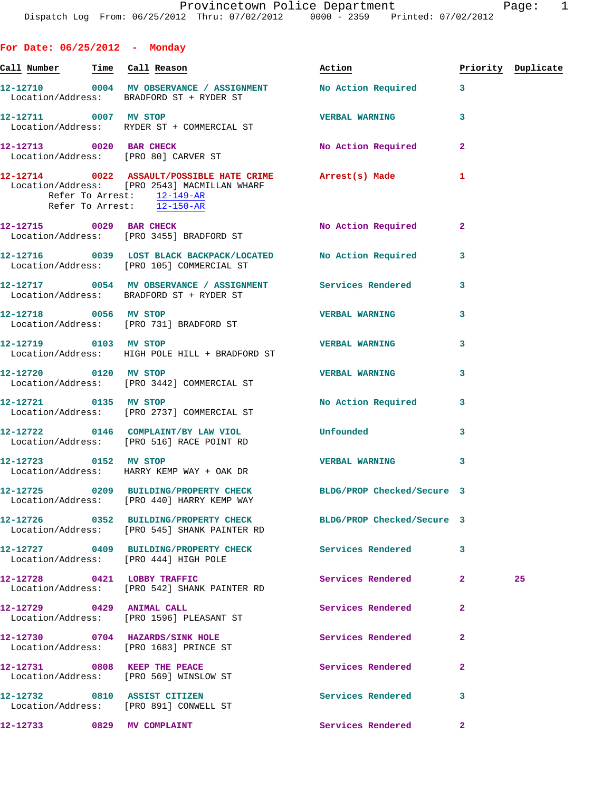**For Date: 06/25/2012 - Monday** Call Number Time Call Reason **Reason Action Action** Priority Duplicate **12-12710 0004 MV OBSERVANCE / ASSIGNMENT No Action Required 3**  Location/Address: BRADFORD ST + RYDER ST **12-12711 0007 MV STOP VERBAL WARNING 3**  Location/Address: RYDER ST + COMMERCIAL ST **12-12713 0020 BAR CHECK No Action Required 2**  Location/Address: [PRO 80] CARVER ST **12-12714 0022 ASSAULT/POSSIBLE HATE CRIME Arrest(s) Made 1**  Location/Address: [PRO 2543] MACMILLAN WHARF Refer To Arrest:  $\frac{12-149-R}{2}$  Refer To Arrest: 12-150-AR **12-12715 0029 BAR CHECK No Action Required 2**  Location/Address: [PRO 3455] BRADFORD ST **12-12716 0039 LOST BLACK BACKPACK/LOCATED No Action Required 3**  Location/Address: [PRO 105] COMMERCIAL ST **12-12717 0054 MV OBSERVANCE / ASSIGNMENT Services Rendered 3**  Location/Address: BRADFORD ST + RYDER ST **12-12718 0056 MV STOP VERBAL WARNING 3**  Location/Address: [PRO 731] BRADFORD ST **12-12719 0103 MV STOP VERBAL WARNING 3**  Location/Address: HIGH POLE HILL + BRADFORD ST **12-12720 0120 MV STOP VERBAL WARNING 3**  Location/Address: [PRO 3442] COMMERCIAL ST **12-12721 0135 MV STOP No Action Required 3**  Location/Address: [PRO 2737] COMMERCIAL ST **12-12722 0146 COMPLAINT/BY LAW VIOL Unfounded 3**  Location/Address: [PRO 516] RACE POINT RD **12-12723 0152 MV STOP VERBAL WARNING 3**  Location/Address: HARRY KEMP WAY + OAK DR **12-12725 0209 BUILDING/PROPERTY CHECK BLDG/PROP Checked/Secure 3**  Location/Address: [PRO 440] HARRY KEMP WAY **12-12726 0352 BUILDING/PROPERTY CHECK BLDG/PROP Checked/Secure 3**  Location/Address: [PRO 545] SHANK PAINTER RD **12-12727 0409 BUILDING/PROPERTY CHECK Services Rendered 3**  Location/Address: [PRO 444] HIGH POLE **12-12728 0421 LOBBY TRAFFIC Services Rendered 2 25**  Location/Address: [PRO 542] SHANK PAINTER RD **12-12729 0429 ANIMAL CALL Services Rendered 2**  Location/Address: [PRO 1596] PLEASANT ST **12-12730 0704 HAZARDS/SINK HOLE Services Rendered 2** 

 Location/Address: [PRO 1683] PRINCE ST **12-12731 0808 KEEP THE PEACE Services Rendered 2** 

Location/Address: [PRO 569] WINSLOW ST

**12-12732 0810 ASSIST CITIZEN Services Rendered 3**  Location/Address: [PRO 891] CONWELL ST

**12-12733 0829 MV COMPLAINT Services Rendered 2**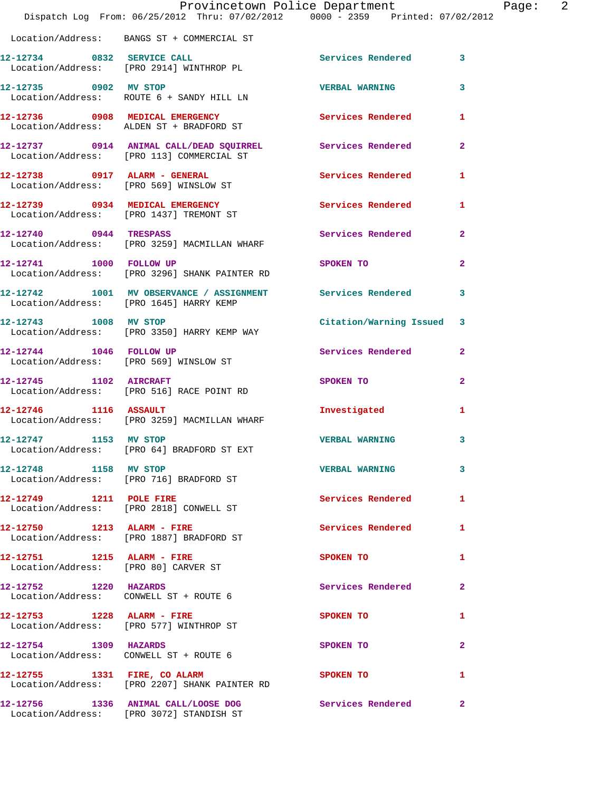|                                                                    | Provincetown Police Department<br>Dispatch Log From: 06/25/2012 Thru: 07/02/2012 0000 - 2359 Printed: 07/02/2012 |                          |                |
|--------------------------------------------------------------------|------------------------------------------------------------------------------------------------------------------|--------------------------|----------------|
|                                                                    | Location/Address: BANGS ST + COMMERCIAL ST                                                                       |                          |                |
|                                                                    | 12-12734 0832 SERVICE CALL<br>Location/Address: [PRO 2914] WINTHROP PL                                           | Services Rendered        | 3              |
| 12-12735 0902 MV STOP                                              | Location/Address: ROUTE 6 + SANDY HILL LN                                                                        | <b>VERBAL WARNING</b>    | 3              |
|                                                                    | 12-12736 0908 MEDICAL EMERGENCY<br>Location/Address: ALDEN ST + BRADFORD ST                                      | <b>Services Rendered</b> | 1              |
|                                                                    | 12-12737 0914 ANIMAL CALL/DEAD SQUIRREL Services Rendered<br>Location/Address: [PRO 113] COMMERCIAL ST           |                          | $\overline{a}$ |
|                                                                    | 12-12738 0917 ALARM - GENERAL<br>Location/Address: [PRO 569] WINSLOW ST                                          | Services Rendered        | 1              |
|                                                                    | 12-12739 0934 MEDICAL EMERGENCY<br>Location/Address: [PRO 1437] TREMONT ST                                       | <b>Services Rendered</b> | 1              |
| 12-12740 0944 TRESPASS                                             | Location/Address: [PRO 3259] MACMILLAN WHARF                                                                     | <b>Services Rendered</b> | 2              |
| 12-12741 1000 FOLLOW UP                                            | Location/Address: [PRO 3296] SHANK PAINTER RD                                                                    | SPOKEN TO                | $\mathbf{2}$   |
|                                                                    | 12-12742 1001 MV OBSERVANCE / ASSIGNMENT Services Rendered<br>Location/Address: [PRO 1645] HARRY KEMP            |                          | 3              |
| 12-12743 1008 MV STOP                                              | Location/Address: [PRO 3350] HARRY KEMP WAY                                                                      | Citation/Warning Issued  | 3              |
|                                                                    | 12-12744 1046 FOLLOW UP<br>Location/Address: [PRO 569] WINSLOW ST                                                | Services Rendered        | $\mathbf{2}$   |
| 12-12745 1102 AIRCRAFT                                             | Location/Address: [PRO 516] RACE POINT RD                                                                        | SPOKEN TO                | 2              |
|                                                                    | $12 - 12746$ 1116 ASSAULT<br>Location/Address: [PRO 3259] MACMILLAN WHARF                                        | Investigated             | 1              |
| 12-12747 1153 MV STOP                                              | Location/Address: [PRO 64] BRADFORD ST EXT                                                                       | <b>VERBAL WARNING</b>    | 3              |
| 12-12748 1158 MV STOP                                              | Location/Address: [PRO 716] BRADFORD ST                                                                          | <b>VERBAL WARNING</b>    | 3              |
| 12-12749 1211 POLE FIRE                                            | Location/Address: [PRO 2818] CONWELL ST                                                                          | Services Rendered        | 1              |
| 12-12750 1213 ALARM - FIRE                                         | Location/Address: [PRO 1887] BRADFORD ST                                                                         | <b>Services Rendered</b> | 1              |
| 12-12751 1215 ALARM - FIRE<br>Location/Address: [PRO 80] CARVER ST |                                                                                                                  | SPOKEN TO                | 1              |
| 12-12752 1220 HAZARDS<br>Location/Address: CONWELL ST + ROUTE 6    |                                                                                                                  | Services Rendered        | $\mathbf{2}$   |
| 12-12753 1228 ALARM - FIRE                                         | Location/Address: [PRO 577] WINTHROP ST                                                                          | SPOKEN TO                | 1              |
| 12-12754 1309 HAZARDS                                              | Location/Address: CONWELL ST + ROUTE 6                                                                           | SPOKEN TO                | 2              |
| 12-12755 1331 FIRE, CO ALARM                                       | Location/Address: [PRO 2207] SHANK PAINTER RD                                                                    | SPOKEN TO                | 1              |
|                                                                    | 12-12756 1336 ANIMAL CALL/LOOSE DOG<br>Location/Address: [PRO 3072] STANDISH ST                                  | Services Rendered        | $\mathbf{2}$   |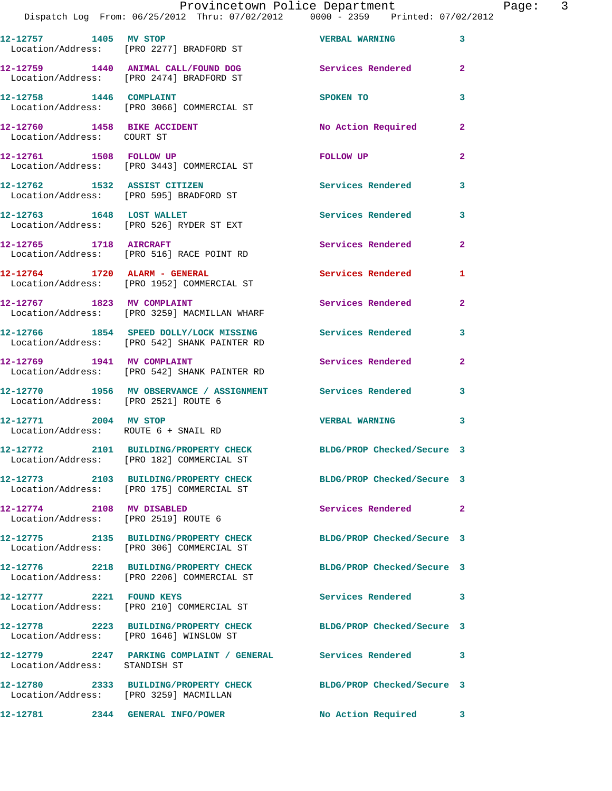| 12-12757 1405 MV STOP                                             | Location/Address: [PRO 2277] BRADFORD ST                                               | <b>VERBAL WARNING</b>      | 3              |
|-------------------------------------------------------------------|----------------------------------------------------------------------------------------|----------------------------|----------------|
|                                                                   | 12-12759 1440 ANIMAL CALL/FOUND DOG<br>Location/Address: [PRO 2474] BRADFORD ST        | Services Rendered          | $\overline{2}$ |
| 12-12758   1446   COMPLAINT                                       | Location/Address: [PRO 3066] COMMERCIAL ST                                             | SPOKEN TO                  | 3              |
| 12-12760 1458 BIKE ACCIDENT<br>Location/Address: COURT ST         |                                                                                        | No Action Required         | $\mathbf{2}$   |
|                                                                   | 12-12761 1508 FOLLOW UP<br>Location/Address: [PRO 3443] COMMERCIAL ST                  | FOLLOW UP                  | $\mathbf{2}$   |
| 12-12762 1532 ASSIST CITIZEN                                      | Location/Address: [PRO 595] BRADFORD ST                                                | Services Rendered          | 3              |
|                                                                   | 12-12763 1648 LOST WALLET<br>Location/Address: [PRO 526] RYDER ST EXT                  | <b>Services Rendered</b>   | 3              |
| 12-12765 1718 AIRCRAFT                                            | Location/Address: [PRO 516] RACE POINT RD                                              | <b>Services Rendered</b>   | $\mathbf{2}$   |
|                                                                   | 12-12764 1720 ALARM - GENERAL<br>Location/Address: [PRO 1952] COMMERCIAL ST            | <b>Services Rendered</b>   | 1              |
| 12-12767 1823 MV COMPLAINT                                        | Location/Address: [PRO 3259] MACMILLAN WHARF                                           | Services Rendered          | $\overline{2}$ |
|                                                                   | 12-12766 1854 SPEED DOLLY/LOCK MISSING<br>Location/Address: [PRO 542] SHANK PAINTER RD | Services Rendered          | 3              |
| 12-12769 1941 MV COMPLAINT                                        | Location/Address: [PRO 542] SHANK PAINTER RD                                           | Services Rendered          | $\overline{2}$ |
| Location/Address: [PRO 2521] ROUTE 6                              | 12-12770 1956 MV OBSERVANCE / ASSIGNMENT                                               | Services Rendered          | 3              |
| 12-12771 2004 MV STOP<br>Location/Address: ROUTE 6 + SNAIL RD     |                                                                                        | <b>VERBAL WARNING</b>      | 3              |
|                                                                   | 12-12772 2101 BUILDING/PROPERTY CHECK<br>Location/Address: [PRO 182] COMMERCIAL ST     | BLDG/PROP Checked/Secure 3 |                |
|                                                                   | 12-12773 2103 BUILDING/PROPERTY CHECK<br>Location/Address: [PRO 175] COMMERCIAL ST     | BLDG/PROP Checked/Secure 3 |                |
| 12-12774 2108 MV DISABLED<br>Location/Address: [PRO 2519] ROUTE 6 |                                                                                        | Services Rendered          | $\mathbf{2}$   |
|                                                                   | 12-12775 2135 BUILDING/PROPERTY CHECK<br>Location/Address: [PRO 306] COMMERCIAL ST     | BLDG/PROP Checked/Secure 3 |                |
|                                                                   | 12-12776 2218 BUILDING/PROPERTY CHECK<br>Location/Address: [PRO 2206] COMMERCIAL ST    | BLDG/PROP Checked/Secure 3 |                |
| 12-12777 2221 FOUND KEYS                                          | Location/Address: [PRO 210] COMMERCIAL ST                                              | Services Rendered          | 3              |
|                                                                   | 12-12778 2223 BUILDING/PROPERTY CHECK<br>Location/Address: [PRO 1646] WINSLOW ST       | BLDG/PROP Checked/Secure 3 |                |
| Location/Address: STANDISH ST                                     | 12-12779 2247 PARKING COMPLAINT / GENERAL Services Rendered                            |                            | 3              |
| Location/Address: [PRO 3259] MACMILLAN                            | 12-12780 2333 BUILDING/PROPERTY CHECK                                                  | BLDG/PROP Checked/Secure 3 |                |
| 12-12781 2344 GENERAL INFO/POWER                                  |                                                                                        | No Action Required         | 3              |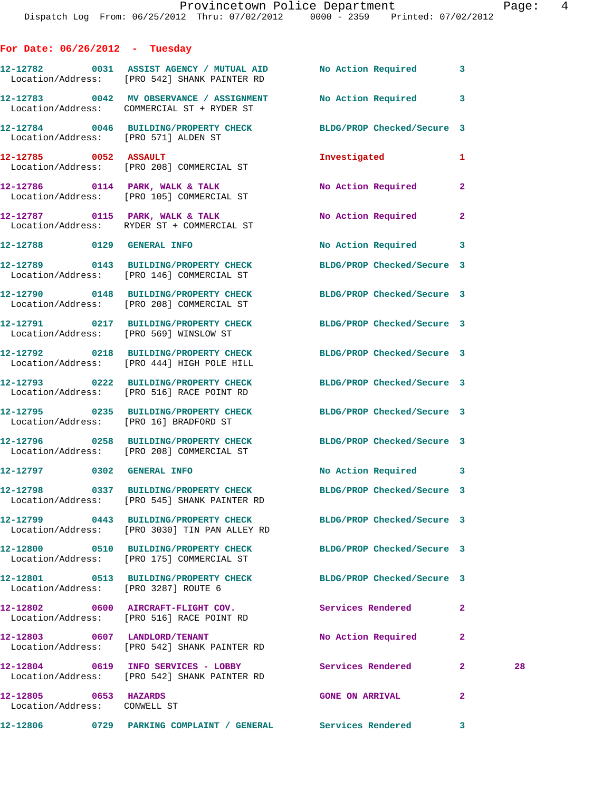**For Date: 06/26/2012 - Tuesday**

|                                                       | 12-12782 0031 ASSIST AGENCY / MUTUAL AID<br>Location/Address: [PRO 542] SHANK PAINTER RD                         | No Action Required 3       |                |    |
|-------------------------------------------------------|------------------------------------------------------------------------------------------------------------------|----------------------------|----------------|----|
|                                                       | 12-12783 0042 MV OBSERVANCE / ASSIGNMENT NO Action Required 3<br>Location/Address: COMMERCIAL ST + RYDER ST      |                            |                |    |
| Location/Address: [PRO 571] ALDEN ST                  | 12-12784 0046 BUILDING/PROPERTY CHECK BLDG/PROP Checked/Secure 3                                                 |                            |                |    |
| 12-12785 0052 ASSAULT                                 | Location/Address: [PRO 208] COMMERCIAL ST                                                                        | Investigated               | 1              |    |
|                                                       | 12-12786 0114 PARK, WALK & TALK<br>Location/Address: [PRO 105] COMMERCIAL ST                                     | No Action Required         | $\overline{2}$ |    |
|                                                       | 12-12787 0115 PARK, WALK & TALK<br>Location/Address: RYDER ST + COMMERCIAL ST                                    | No Action Required         | $\overline{a}$ |    |
| 12-12788 0129 GENERAL INFO                            |                                                                                                                  | No Action Required         | 3              |    |
|                                                       | 12-12789 0143 BUILDING/PROPERTY CHECK BLDG/PROP Checked/Secure 3<br>Location/Address: [PRO 146] COMMERCIAL ST    |                            |                |    |
|                                                       | 12-12790 0148 BUILDING/PROPERTY CHECK BLDG/PROP Checked/Secure 3<br>Location/Address: [PRO 208] COMMERCIAL ST    |                            |                |    |
|                                                       | 12-12791 0217 BUILDING/PROPERTY CHECK BLDG/PROP Checked/Secure 3<br>Location/Address: [PRO 569] WINSLOW ST       |                            |                |    |
|                                                       | 12-12792 0218 BUILDING/PROPERTY CHECK BLDG/PROP Checked/Secure 3<br>Location/Address: [PRO 444] HIGH POLE HILL   |                            |                |    |
|                                                       | 12-12793 0222 BUILDING/PROPERTY CHECK BLDG/PROP Checked/Secure 3<br>Location/Address: [PRO 516] RACE POINT RD    |                            |                |    |
|                                                       | 12-12795 0235 BUILDING/PROPERTY CHECK BLDG/PROP Checked/Secure 3<br>Location/Address: [PRO 16] BRADFORD ST       |                            |                |    |
|                                                       | 12-12796 0258 BUILDING/PROPERTY CHECK BLDG/PROP Checked/Secure 3<br>Location/Address: [PRO 208] COMMERCIAL ST    |                            |                |    |
| 12-12797 0302 GENERAL INFO                            |                                                                                                                  | No Action Required 3       |                |    |
|                                                       | 12-12798 0337 BUILDING/PROPERTY CHECK BLDG/PROP Checked/Secure 3<br>Location/Address: [PRO 545] SHANK PAINTER RD |                            |                |    |
|                                                       | 12-12799 0443 BUILDING/PROPERTY CHECK<br>Location/Address: [PRO 3030] TIN PAN ALLEY RD                           | BLDG/PROP Checked/Secure 3 |                |    |
|                                                       | 12-12800 0510 BUILDING/PROPERTY CHECK<br>Location/Address: [PRO 175] COMMERCIAL ST                               | BLDG/PROP Checked/Secure 3 |                |    |
| Location/Address: [PRO 3287] ROUTE 6                  | 12-12801 0513 BUILDING/PROPERTY CHECK                                                                            | BLDG/PROP Checked/Secure 3 |                |    |
|                                                       | 12-12802 0600 AIRCRAFT-FLIGHT COV.<br>Location/Address: [PRO 516] RACE POINT RD                                  | Services Rendered          | $\mathbf{2}$   |    |
|                                                       | 12-12803 0607 LANDLORD/TENANT<br>Location/Address: [PRO 542] SHANK PAINTER RD                                    | No Action Required         | 2              |    |
|                                                       | 12-12804 0619 INFO SERVICES - LOBBY<br>Location/Address: [PRO 542] SHANK PAINTER RD                              | <b>Services Rendered</b>   | $\mathbf{2}$   | 28 |
| 12-12805 0653 HAZARDS<br>Location/Address: CONWELL ST |                                                                                                                  | <b>GONE ON ARRIVAL</b>     | $\mathbf{2}$   |    |
|                                                       |                                                                                                                  |                            | 3              |    |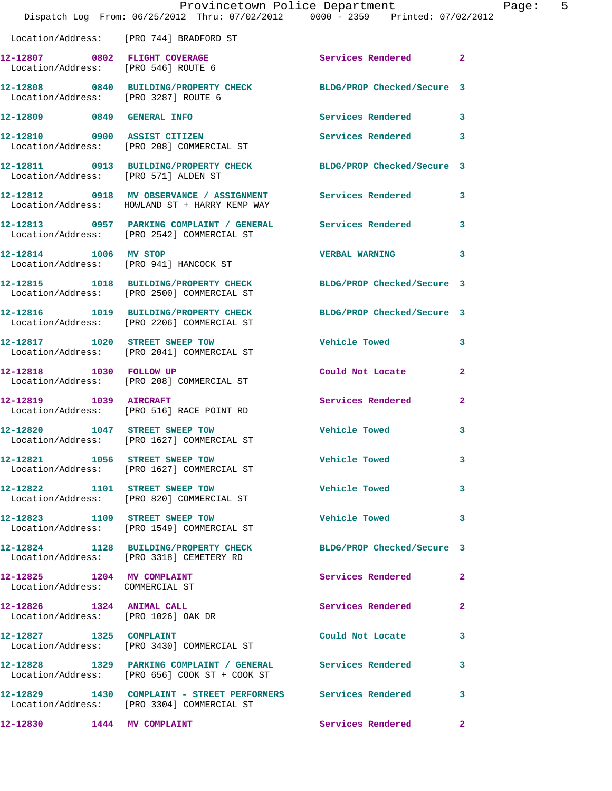|                                                                  | Dispatch Log From: 06/25/2012 Thru: 07/02/2012 0000 - 2359 Printed: 07/02/2012                                     | Provincetown Police Department Page: 5    |              |
|------------------------------------------------------------------|--------------------------------------------------------------------------------------------------------------------|-------------------------------------------|--------------|
|                                                                  | Location/Address: [PRO 744] BRADFORD ST                                                                            |                                           |              |
|                                                                  | 12-12807 0802 FLIGHT COVERAGE<br>Location/Address: [PRO 546] ROUTE 6                                               | Services Rendered 2                       |              |
| Location/Address: [PRO 3287] ROUTE 6                             | 12-12808 0840 BUILDING/PROPERTY CHECK BLDG/PROP Checked/Secure 3                                                   |                                           |              |
|                                                                  | 12-12809 0849 GENERAL INFO                                                                                         | Services Rendered 3                       |              |
|                                                                  | 12-12810     0900 ASSIST CITIZEN<br>Location/Address:   [PRO 208] COMMERCIAL ST                                    | Services Rendered                         | 3            |
| Location/Address: [PRO 571] ALDEN ST                             | 12-12811 0913 BUILDING/PROPERTY CHECK BLDG/PROP Checked/Secure 3                                                   |                                           |              |
|                                                                  | 12-12812 0918 MV OBSERVANCE / ASSIGNMENT Services Rendered 3<br>Location/Address: HOWLAND ST + HARRY KEMP WAY      |                                           |              |
|                                                                  | 12-12813 0957 PARKING COMPLAINT / GENERAL Services Rendered 3<br>Location/Address: [PRO 2542] COMMERCIAL ST        |                                           |              |
|                                                                  | 12-12814 1006 MV STOP<br>Location/Address: [PRO 941] HANCOCK ST                                                    | <b>VERBAL WARNING</b>                     | 3            |
|                                                                  | 12-12815 1018 BUILDING/PROPERTY CHECK BLDG/PROP Checked/Secure 3<br>Location/Address: [PRO 2500] COMMERCIAL ST     |                                           |              |
|                                                                  | 12-12816 1019 BUILDING/PROPERTY CHECK BLDG/PROP Checked/Secure 3<br>Location/Address: [PRO 2206] COMMERCIAL ST     |                                           |              |
|                                                                  | 12-12817 1020 STREET SWEEP TOW<br>Location/Address: [PRO 2041] COMMERCIAL ST                                       | <b>Vehicle Towed</b>                      | 3            |
|                                                                  | 12-12818 1030 FOLLOW UP<br>Location/Address: [PRO 208] COMMERCIAL ST                                               | Could Not Locate                          | $\mathbf{2}$ |
| 12-12819    1039    AIRCRAFT                                     | Location/Address: [PRO 516] RACE POINT RD                                                                          | <b>Services Rendered</b>                  | $\mathbf{2}$ |
|                                                                  | 12-12820 1047 STREET SWEEP TOW<br>Location/Address: [PRO 1627] COMMERCIAL ST                                       | <b>Vehicle Towed</b>                      | $\mathbf{3}$ |
|                                                                  | 12-12821 1056 STREET SWEEP TOW<br>Location/Address: [PRO 1627] COMMERCIAL ST                                       | <b>Vehicle Towed</b>                      | 3            |
|                                                                  | 12-12822 1101 STREET SWEEP TOW<br>Location/Address: [PRO 820] COMMERCIAL ST                                        | <b>Vehicle Towed</b><br>$\sim$ 3 $\sim$ 3 |              |
|                                                                  | 12-12823 1109 STREET SWEEP TOW<br>Location/Address: [PRO 1549] COMMERCIAL ST                                       | Vehicle Towed 3                           |              |
|                                                                  | 12-12824 1128 BUILDING/PROPERTY CHECK BLDG/PROP Checked/Secure 3<br>Location/Address: [PRO 3318] CEMETERY RD       |                                           |              |
| 12-12825 1204 MV COMPLAINT<br>Location/Address: COMMERCIAL ST    |                                                                                                                    | Services Rendered 2                       |              |
| 12-12826 1324 ANIMAL CALL<br>Location/Address: [PRO 1026] OAK DR |                                                                                                                    | Services Rendered                         | $\mathbf{2}$ |
| 12-12827 1325 COMPLAINT                                          | Location/Address: [PRO 3430] COMMERCIAL ST                                                                         | Could Not Locate                          | 3            |
|                                                                  | 12-12828   1329   PARKING COMPLAINT / GENERAL   Services Rendered<br>Location/Address: [PRO 656] COOK ST + COOK ST |                                           | $\mathbf{3}$ |
|                                                                  | 12-12829 1430 COMPLAINT - STREET PERFORMERS Services Rendered<br>Location/Address: [PRO 3304] COMMERCIAL ST        |                                           | 3            |
| 12-12830   1444 MV COMPLAINT                                     |                                                                                                                    | Services Rendered                         | $\mathbf{2}$ |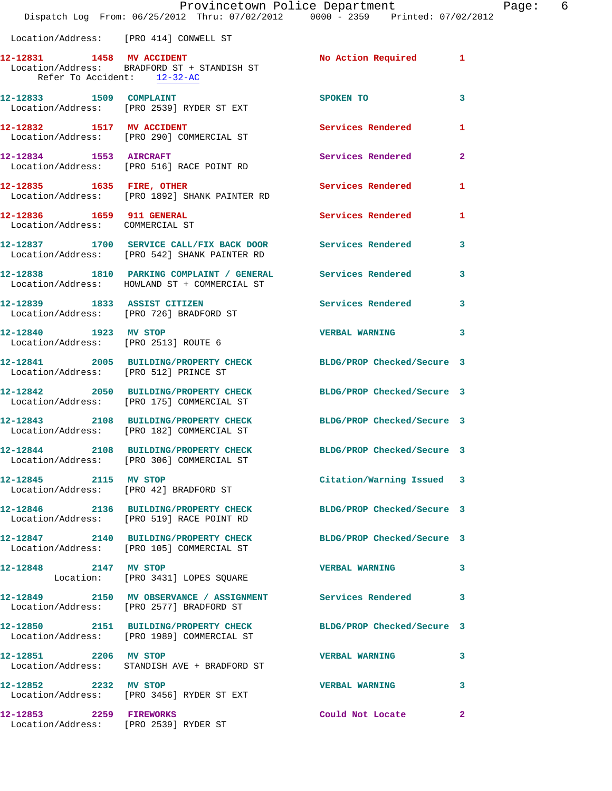|                                                              | Dispatch Log From: 06/25/2012 Thru: 07/02/2012 0000 - 2359 Printed: 07/02/2012                                 | Provincetown Police Department Page: 6 |              |
|--------------------------------------------------------------|----------------------------------------------------------------------------------------------------------------|----------------------------------------|--------------|
| Location/Address: [PRO 414] CONWELL ST                       |                                                                                                                |                                        |              |
| Refer To Accident: 12-32-AC                                  | 12-12831 1458 MV ACCIDENT<br>Location/Address: BRADFORD ST + STANDISH ST                                       | No Action Required 1                   |              |
|                                                              | 12-12833 1509 COMPLAINT<br>Location/Address: [PRO 2539] RYDER ST EXT                                           | SPOKEN TO                              | 3            |
|                                                              | 12-12832 1517 MV ACCIDENT<br>Location/Address: [PRO 290] COMMERCIAL ST                                         | <b>Services Rendered</b>               | $\mathbf{1}$ |
|                                                              | 12-12834 1553 AIRCRAFT<br>Location/Address: [PRO 516] RACE POINT RD                                            | Services Rendered                      | $\mathbf{2}$ |
|                                                              | 12-12835 1635 FIRE, OTHER<br>Location/Address: [PRO 1892] SHANK PAINTER RD                                     | Services Rendered                      | 1            |
| 12-12836 1659 911 GENERAL<br>Location/Address: COMMERCIAL ST |                                                                                                                | Services Rendered                      | 1            |
|                                                              | 12-12837 1700 SERVICE CALL/FIX BACK DOOR Services Rendered<br>Location/Address: [PRO 542] SHANK PAINTER RD     |                                        | 3            |
|                                                              | 12-12838 1810 PARKING COMPLAINT / GENERAL Services Rendered 3<br>Location/Address: HOWLAND ST + COMMERCIAL ST  |                                        |              |
|                                                              | 12-12839 1833 ASSIST CITIZEN<br>Location/Address: [PRO 726] BRADFORD ST                                        | Services Rendered                      | 3            |
| 12-12840 1923 MV STOP                                        | Location/Address: [PRO 2513] ROUTE 6                                                                           | VERBAL WARNING 3                       |              |
| Location/Address: [PRO 512] PRINCE ST                        | 12-12841 2005 BUILDING/PROPERTY CHECK BLDG/PROP Checked/Secure 3                                               |                                        |              |
|                                                              | 12-12842 2050 BUILDING/PROPERTY CHECK BLDG/PROP Checked/Secure 3<br>Location/Address: [PRO 175] COMMERCIAL ST  |                                        |              |
|                                                              | 12-12843 2108 BUILDING/PROPERTY CHECK BLDG/PROP Checked/Secure 3<br>Location/Address: [PRO 182] COMMERCIAL ST  |                                        |              |
|                                                              | 12-12844 2108 BUILDING/PROPERTY CHECK<br>Location/Address: [PRO 306] COMMERCIAL ST                             | BLDG/PROP Checked/Secure 3             |              |
| 12-12845 2115 MV STOP                                        | Location/Address: [PRO 42] BRADFORD ST                                                                         | Citation/Warning Issued 3              |              |
|                                                              | 12-12846 2136 BUILDING/PROPERTY CHECK<br>Location/Address: [PRO 519] RACE POINT RD                             | BLDG/PROP Checked/Secure 3             |              |
|                                                              | 12-12847 2140 BUILDING/PROPERTY CHECK BLDG/PROP Checked/Secure 3<br>Location/Address: [PRO 105] COMMERCIAL ST  |                                        |              |
| 12-12848 2147 MV STOP                                        | Location: [PRO 3431] LOPES SQUARE                                                                              | VERBAL WARNING 3                       |              |
|                                                              | 12-12849 2150 MV OBSERVANCE / ASSIGNMENT Services Rendered<br>Location/Address: [PRO 2577] BRADFORD ST         |                                        | 3            |
|                                                              | 12-12850 2151 BUILDING/PROPERTY CHECK BLDG/PROP Checked/Secure 3<br>Location/Address: [PRO 1989] COMMERCIAL ST |                                        |              |
|                                                              | 12-12851 2206 MV STOP<br>Location/Address: STANDISH AVE + BRADFORD ST                                          | <b>VERBAL WARNING</b>                  | 3            |
| 12-12852 2232 MV STOP                                        | Location/Address: [PRO 3456] RYDER ST EXT                                                                      | <b>VERBAL WARNING</b>                  | 3            |
| 12-12853 2259 FIREWORKS                                      | Location/Address: [PRO 2539] RYDER ST                                                                          | Could Not Locate                       | 2            |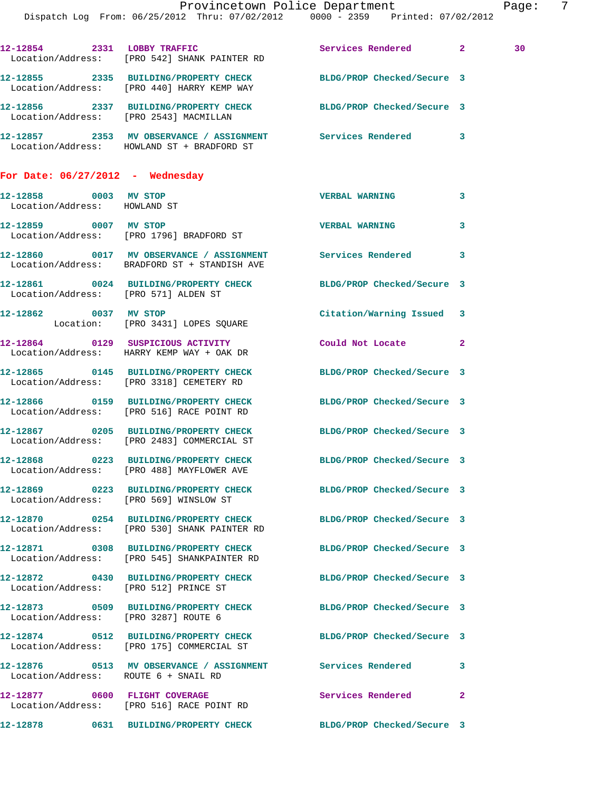|                                                       | Dispatch Log From: 06/25/2012 Thru: 07/02/2012 0000 - 2359 Printed: 07/02/2012                                       | Provincetown Police Department |              | Page: 7 |  |
|-------------------------------------------------------|----------------------------------------------------------------------------------------------------------------------|--------------------------------|--------------|---------|--|
|                                                       |                                                                                                                      |                                |              |         |  |
|                                                       | 12-12854 2331 LOBBY TRAFFIC<br>Location/Address: [PRO 542] SHANK PAINTER RD                                          | Services Rendered 2            |              | 30      |  |
|                                                       | 12-12855 2335 BUILDING/PROPERTY CHECK BLDG/PROP Checked/Secure 3<br>Location/Address: [PRO 440] HARRY KEMP WAY       |                                |              |         |  |
|                                                       | 12-12856 2337 BUILDING/PROPERTY CHECK BLDG/PROP Checked/Secure 3<br>Location/Address: [PRO 2543] MACMILLAN           |                                |              |         |  |
|                                                       | 12-12857 2353 MV OBSERVANCE / ASSIGNMENT Services Rendered 3<br>Location/Address: HOWLAND ST + BRADFORD ST           |                                |              |         |  |
| For Date: $06/27/2012$ - Wednesday                    |                                                                                                                      |                                |              |         |  |
| 12-12858 0003 MV STOP<br>Location/Address: HOWLAND ST |                                                                                                                      | <b>VERBAL WARNING</b>          | 3            |         |  |
| 12-12859 0007 MV STOP                                 | Location/Address: [PRO 1796] BRADFORD ST                                                                             | <b>VERBAL WARNING</b>          | $\mathbf{3}$ |         |  |
|                                                       | 12-12860 0017 MV OBSERVANCE / ASSIGNMENT Services Rendered<br>Location/Address: BRADFORD ST + STANDISH AVE           |                                | 3            |         |  |
| Location/Address: [PRO 571] ALDEN ST                  | 12-12861 0024 BUILDING/PROPERTY CHECK BLDG/PROP Checked/Secure 3                                                     |                                |              |         |  |
|                                                       | 12-12862 0037 MV STOP<br>Location: [PRO 3431] LOPES SQUARE                                                           | Citation/Warning Issued 3      |              |         |  |
|                                                       | 12-12864 0129 SUSPICIOUS ACTIVITY<br>Location/Address: HARRY KEMP WAY + OAK DR                                       | Could Not Locate               | $\mathbf{2}$ |         |  |
|                                                       | 12-12865 0145 BUILDING/PROPERTY CHECK<br>Location/Address: [PRO 3318] CEMETERY RD                                    | BLDG/PROP Checked/Secure 3     |              |         |  |
|                                                       | 12-12866 0159 BUILDING/PROPERTY CHECK BLDG/PROP Checked/Secure 3<br>Location/Address: [PRO 516] RACE POINT RD        |                                |              |         |  |
|                                                       | 12-12867 0205 BUILDING/PROPERTY CHECK BLDG/PROP Checked/Secure 3<br>Location/Address: [PRO 2483] COMMERCIAL ST       |                                |              |         |  |
|                                                       | 12-12868 0223 BUILDING/PROPERTY CHECK BLDG/PROP Checked/Secure 3<br>Location/Address: [PRO 488] MAYFLOWER AVE        |                                |              |         |  |
|                                                       | 12-12869 0223 BUILDING/PROPERTY CHECK BLDG/PROP Checked/Secure 3<br>Location/Address: [PRO 569] WINSLOW ST           |                                |              |         |  |
|                                                       | 12-12870 0254 BUILDING/PROPERTY CHECK BLDG/PROP Checked/Secure 3<br>Location/Address: [PRO 530] SHANK PAINTER RD     |                                |              |         |  |
|                                                       | 12-12871 0308 BUILDING/PROPERTY CHECK BLDG/PROP Checked/Secure 3<br>Location/Address: [PRO 545] SHANKPAINTER RD      |                                |              |         |  |
|                                                       | 12-12872 0430 BUILDING/PROPERTY CHECK BLDG/PROP Checked/Secure 3<br>Location/Address: [PRO 512] PRINCE ST            |                                |              |         |  |
| Location/Address: [PRO 3287] ROUTE 6                  | 12-12873 0509 BUILDING/PROPERTY CHECK BLDG/PROP Checked/Secure 3                                                     |                                |              |         |  |
|                                                       | 12-12874 0512 BUILDING/PROPERTY CHECK BLDG/PROP Checked/Secure 3<br>Location/Address: [PRO 175] COMMERCIAL ST        |                                |              |         |  |
| Location/Address: ROUTE 6 + SNAIL RD                  | 12-12876               0513     MV  OBSERVANCE  /  ASSIGNMENT                  Services  Rendered                  3 |                                |              |         |  |
|                                                       | 12-12877 0600 FLIGHT COVERAGE<br>Location/Address: [PRO 516] RACE POINT RD                                           | Services Rendered              | 2            |         |  |
|                                                       | 12-12878 0631 BUILDING/PROPERTY CHECK BLDG/PROP Checked/Secure 3                                                     |                                |              |         |  |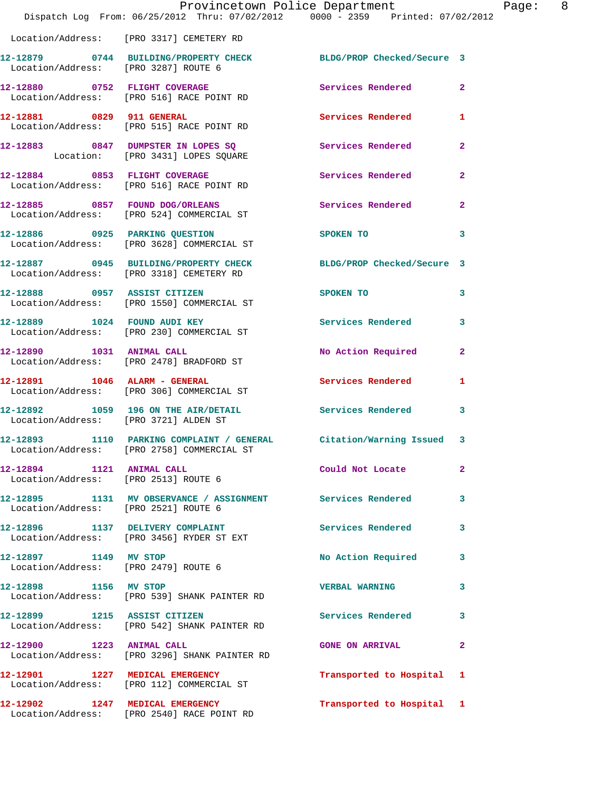|                                                                   | Provincetown Police Department<br>Dispatch Log From: 06/25/2012 Thru: 07/02/2012 0000 - 2359 Printed: 07/02/2012  |                            |                |
|-------------------------------------------------------------------|-------------------------------------------------------------------------------------------------------------------|----------------------------|----------------|
|                                                                   | Location/Address: [PRO 3317] CEMETERY RD                                                                          |                            |                |
| Location/Address: [PRO 3287] ROUTE 6                              | 12-12879 0744 BUILDING/PROPERTY CHECK BLDG/PROP Checked/Secure 3                                                  |                            |                |
|                                                                   | 12-12880 0752 FLIGHT COVERAGE<br>Location/Address: [PRO 516] RACE POINT RD                                        | Services Rendered          | $\overline{2}$ |
|                                                                   | 12-12881 0829 911 GENERAL<br>Location/Address: [PRO 515] RACE POINT RD                                            | Services Rendered          | 1              |
|                                                                   | 12-12883 0847 DUMPSTER IN LOPES SQ<br>Location: [PRO 3431] LOPES SQUARE                                           | <b>Services Rendered</b>   | $\overline{a}$ |
|                                                                   | 12-12884 0853 FLIGHT COVERAGE<br>Location/Address: [PRO 516] RACE POINT RD                                        | Services Rendered          | $\overline{2}$ |
|                                                                   | 12-12885 0857 FOUND DOG/ORLEANS<br>Location/Address: [PRO 524] COMMERCIAL ST                                      | Services Rendered          | $\mathbf{2}$   |
|                                                                   | 12-12886 0925 PARKING QUESTION<br>Location/Address: [PRO 3628] COMMERCIAL ST                                      | SPOKEN TO                  | 3              |
|                                                                   | 12-12887 0945 BUILDING/PROPERTY CHECK<br>Location/Address: [PRO 3318] CEMETERY RD                                 | BLDG/PROP Checked/Secure 3 |                |
|                                                                   | 12-12888 0957 ASSIST CITIZEN<br>Location/Address: [PRO 1550] COMMERCIAL ST                                        | SPOKEN TO                  | 3              |
|                                                                   | 12-12889 1024 FOUND AUDI KEY<br>Location/Address: [PRO 230] COMMERCIAL ST                                         | <b>Services Rendered</b>   | 3              |
| 12-12890 1031 ANIMAL CALL                                         | Location/Address: [PRO 2478] BRADFORD ST                                                                          | No Action Required         | $\overline{2}$ |
|                                                                   | 12-12891    1046    ALARM - GENERAL<br>Location/Address: [PRO 306] COMMERCIAL ST                                  | <b>Services Rendered</b>   | 1              |
| Location/Address: [PRO 3721] ALDEN ST                             | 12-12892 1059 196 ON THE AIR/DETAIL Services Rendered                                                             |                            | 3              |
|                                                                   | 12-12893 1110 PARKING COMPLAINT / GENERAL Citation/Warning Issued 3<br>Location/Address: [PRO 2758] COMMERCIAL ST |                            |                |
| 12-12894 1121 ANIMAL CALL<br>Location/Address: [PRO 2513] ROUTE 6 |                                                                                                                   | Could Not Locate           | 2              |
| Location/Address: [PRO 2521] ROUTE 6                              | 12-12895 1131 MV OBSERVANCE / ASSIGNMENT Services Rendered                                                        |                            | 3              |
|                                                                   | 12-12896 1137 DELIVERY COMPLAINT<br>Location/Address: [PRO 3456] RYDER ST EXT                                     | Services Rendered          | 3              |
| 12-12897 1149 MV STOP<br>Location/Address: [PRO 2479] ROUTE 6     |                                                                                                                   | No Action Required         | 3              |
| 12-12898 1156 MV STOP                                             | Location/Address: [PRO 539] SHANK PAINTER RD                                                                      | <b>VERBAL WARNING</b>      | 3              |
|                                                                   | 12-12899 1215 ASSIST CITIZEN<br>Location/Address: [PRO 542] SHANK PAINTER RD                                      | Services Rendered          | 3              |
| 12-12900 1223 ANIMAL CALL                                         | Location/Address: [PRO 3296] SHANK PAINTER RD                                                                     | <b>GONE ON ARRIVAL</b>     | $\overline{2}$ |
|                                                                   | 12-12901 1227 MEDICAL EMERGENCY<br>Location/Address: [PRO 112] COMMERCIAL ST                                      | Transported to Hospital    | 1              |
|                                                                   | 12-12902 1247 MEDICAL EMERGENCY<br>Location/Address: [PRO 2540] RACE POINT RD                                     | Transported to Hospital 1  |                |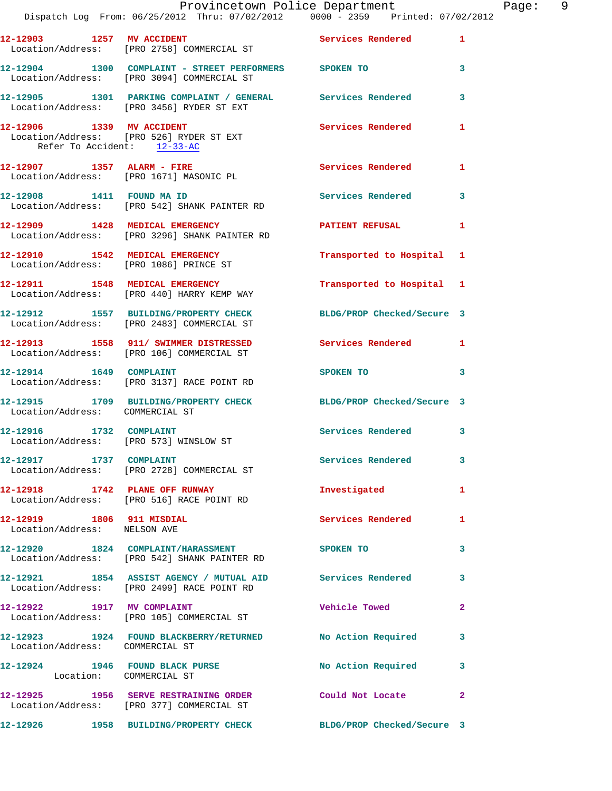|                                                           | Dispatch Log From: 06/25/2012 Thru: 07/02/2012   0000 - 2359   Printed: 07/02/2012                                 | Provincetown Police Department                                                                                | Page: 9      |  |
|-----------------------------------------------------------|--------------------------------------------------------------------------------------------------------------------|---------------------------------------------------------------------------------------------------------------|--------------|--|
|                                                           | 12-12903 1257 MV ACCIDENT<br>Location/Address: [PRO 2758] COMMERCIAL ST                                            | Services Rendered 1                                                                                           |              |  |
|                                                           | 12-12904 1300 COMPLAINT - STREET PERFORMERS SPOKEN TO<br>Location/Address: [PRO 3094] COMMERCIAL ST                |                                                                                                               | 3            |  |
|                                                           | 12-12905 1301 PARKING COMPLAINT / GENERAL Services Rendered 3<br>Location/Address: [PRO 3456] RYDER ST EXT         |                                                                                                               |              |  |
| Refer To Accident: 12-33-AC                               | 12-12906 1339 MV ACCIDENT<br>Location/Address: [PRO 526] RYDER ST EXT                                              | <b>Services Rendered</b>                                                                                      | 1            |  |
|                                                           | 12-12907 1357 ALARM - FIRE<br>Location/Address: [PRO 1671] MASONIC PL                                              | Services Rendered 1                                                                                           |              |  |
|                                                           | 12-12908 1411 FOUND MA ID<br>Location/Address: [PRO 542] SHANK PAINTER RD                                          | Services Rendered 3                                                                                           |              |  |
|                                                           | 12-12909 1428 MEDICAL EMERGENCY <b>NETER AREA</b> PATIENT REFUSAL<br>Location/Address: [PRO 3296] SHANK PAINTER RD |                                                                                                               | 1            |  |
|                                                           | 12-12910 1542 MEDICAL EMERGENCY<br>Location/Address: [PRO 1086] PRINCE ST                                          | Transported to Hospital 1                                                                                     |              |  |
|                                                           | 12-12911 1548 MEDICAL EMERGENCY<br>Location/Address: [PRO 440] HARRY KEMP WAY                                      | Transported to Hospital 1                                                                                     |              |  |
|                                                           | 12-12912 1557 BUILDING/PROPERTY CHECK BLDG/PROP Checked/Secure 3<br>Location/Address: [PRO 2483] COMMERCIAL ST     |                                                                                                               |              |  |
|                                                           | 12-12913 1558 911/ SWIMMER DISTRESSED Services Rendered 1<br>Location/Address: [PRO 106] COMMERCIAL ST             |                                                                                                               |              |  |
| 12-12914   1649   COMPLAINT                               | Location/Address: [PRO 3137] RACE POINT RD                                                                         | SPOKEN TO AND TO A STATE OF THE STATE OF THE STATE OF THE STATE OF THE STATE OF THE STATE OF THE STATE OF THE | 3            |  |
| Location/Address: COMMERCIAL ST                           | 12-12915 1709 BUILDING/PROPERTY CHECK BLDG/PROP Checked/Secure 3                                                   |                                                                                                               |              |  |
| 12-12916 1732 COMPLAINT                                   | Location/Address: [PRO 573] WINSLOW ST                                                                             | Services Rendered 3                                                                                           |              |  |
|                                                           | 12-12917 1737 COMPLAINT<br>Location/Address: [PRO 2728] COMMERCIAL ST                                              | <b>Services Rendered</b>                                                                                      | 3            |  |
|                                                           | 12-12918 1742 PLANE OFF RUNWAY<br>Location/Address: [PRO 516] RACE POINT RD                                        | Investigated                                                                                                  | $\mathbf{1}$ |  |
| 12-12919 1806 911 MISDIAL<br>Location/Address: NELSON AVE |                                                                                                                    | <b>Services Rendered</b>                                                                                      | 1            |  |
|                                                           | 12-12920 1824 COMPLAINT/HARASSMENT<br>Location/Address: [PRO 542] SHANK PAINTER RD                                 | <b>SPOKEN TO</b>                                                                                              | 3            |  |
|                                                           | 12-12921 1854 ASSIST AGENCY / MUTUAL AID Services Rendered<br>Location/Address: [PRO 2499] RACE POINT RD           |                                                                                                               | 3            |  |
|                                                           | 12-12922 1917 MV COMPLAINT<br>Location/Address: [PRO 105] COMMERCIAL ST                                            | Vehicle Towed                                                                                                 | $\mathbf{2}$ |  |
| Location/Address: COMMERCIAL ST                           | 12-12923 1924 FOUND BLACKBERRY/RETURNED No Action Required                                                         |                                                                                                               | 3            |  |
| Location: COMMERCIAL ST                                   | 12-12924 1946 FOUND BLACK PURSE No Action Required 3                                                               |                                                                                                               |              |  |
|                                                           | 12-12925 1956 SERVE RESTRAINING ORDER Could Not Locate<br>Location/Address: [PRO 377] COMMERCIAL ST                |                                                                                                               | 2            |  |
|                                                           | 12-12926 1958 BUILDING/PROPERTY CHECK                                                                              | BLDG/PROP Checked/Secure 3                                                                                    |              |  |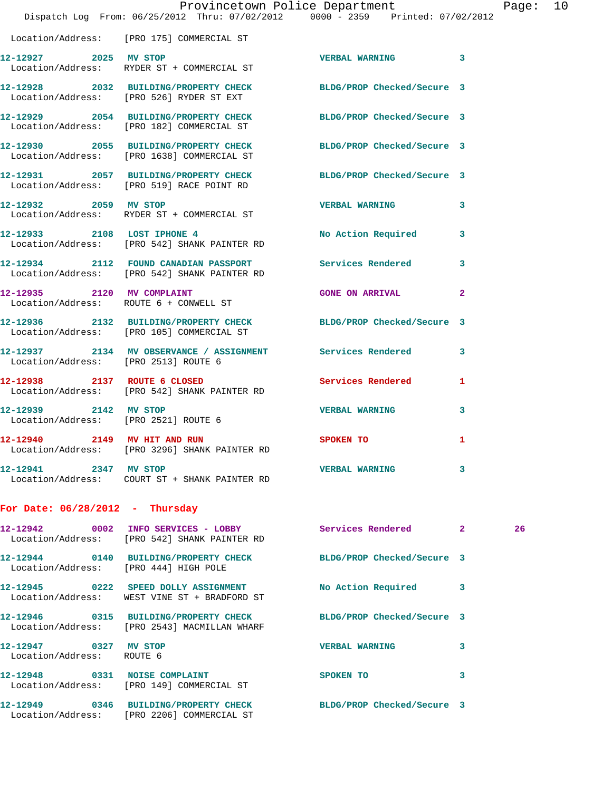|                                                    |                                                                                                                  | Provincetown Police Department |              | Page: 10 |  |
|----------------------------------------------------|------------------------------------------------------------------------------------------------------------------|--------------------------------|--------------|----------|--|
|                                                    | Dispatch Log From: 06/25/2012 Thru: 07/02/2012 0000 - 2359 Printed: 07/02/2012                                   |                                |              |          |  |
|                                                    | Location/Address: [PRO 175] COMMERCIAL ST                                                                        |                                |              |          |  |
|                                                    | 12-12927 2025 MV STOP<br>Location/Address: RYDER ST + COMMERCIAL ST                                              | VERBAL WARNING 3               |              |          |  |
|                                                    | 12-12928 2032 BUILDING/PROPERTY CHECK BLDG/PROP Checked/Secure 3<br>Location/Address: [PRO 526] RYDER ST EXT     |                                |              |          |  |
|                                                    | 12-12929 2054 BUILDING/PROPERTY CHECK BLDG/PROP Checked/Secure 3<br>Location/Address: [PRO 182] COMMERCIAL ST    |                                |              |          |  |
|                                                    | 12-12930 2055 BUILDING/PROPERTY CHECK BLDG/PROP Checked/Secure 3<br>Location/Address: [PRO 1638] COMMERCIAL ST   |                                |              |          |  |
|                                                    | 12-12931 2057 BUILDING/PROPERTY CHECK BLDG/PROP Checked/Secure 3<br>Location/Address: [PRO 519] RACE POINT RD    |                                |              |          |  |
| 12-12932 2059 MV STOP                              | Location/Address: RYDER ST + COMMERCIAL ST                                                                       | <b>VERBAL WARNING 3</b>        |              |          |  |
|                                                    | 12-12933 2108 LOST IPHONE 4<br>Location/Address: [PRO 542] SHANK PAINTER RD                                      | No Action Required 3           |              |          |  |
|                                                    | 12-12934 2112 FOUND CANADIAN PASSPORT Services Rendered 3<br>Location/Address: [PRO 542] SHANK PAINTER RD        |                                |              |          |  |
|                                                    | 12-12935 2120 MV COMPLAINT<br>Location/Address: ROUTE 6 + CONWELL ST                                             | <b>GONE ON ARRIVAL</b>         | $\mathbf{2}$ |          |  |
|                                                    | 12-12936 2132 BUILDING/PROPERTY CHECK BLDG/PROP Checked/Secure 3<br>Location/Address: [PRO 105] COMMERCIAL ST    |                                |              |          |  |
| Location/Address: [PRO 2513] ROUTE 6               | 12-12937 2134 MV OBSERVANCE / ASSIGNMENT Services Rendered                                                       |                                | 3            |          |  |
|                                                    | 12-12938 2137 ROUTE 6 CLOSED 2000 Services Rendered 1<br>Location/Address: [PRO 542] SHANK PAINTER RD            |                                |              |          |  |
| Location/Address: [PRO 2521] ROUTE 6               | 12-12939 2142 MV STOP                                                                                            | VERBAL WARNING 3               |              |          |  |
|                                                    | 12-12940 2149 MV HIT AND RUN<br>Location/Address: [PRO 3296] SHANK PAINTER RD                                    | SPOKEN TO                      |              |          |  |
| 12-12941 2347 MV STOP                              |                                                                                                                  | <b>VERBAL WARNING</b>          | 3            |          |  |
| For Date: $06/28/2012$ - Thursday                  |                                                                                                                  |                                |              |          |  |
|                                                    | 12-12942 0002 INFO SERVICES - LOBBY Services Rendered 2<br>Location/Address: [PRO 542] SHANK PAINTER RD          |                                |              | 26       |  |
|                                                    | 12-12944 0140 BUILDING/PROPERTY CHECK BLDG/PROP Checked/Secure 3<br>Location/Address: [PRO 444] HIGH POLE        |                                |              |          |  |
|                                                    | 12-12945 0222 SPEED DOLLY ASSIGNMENT<br>Location/Address: WEST VINE ST + BRADFORD ST                             | No Action Required             | 3            |          |  |
|                                                    | 12-12946 0315 BUILDING/PROPERTY CHECK BLDG/PROP Checked/Secure 3<br>Location/Address: [PRO 2543] MACMILLAN WHARF |                                |              |          |  |
| 12-12947 0327 MV STOP<br>Location/Address: ROUTE 6 |                                                                                                                  | <b>VERBAL WARNING</b>          | 3            |          |  |
|                                                    | 12-12948 0331 NOISE COMPLAINT<br>Location/Address: [PRO 149] COMMERCIAL ST                                       | SPOKEN TO                      | 3            |          |  |
|                                                    | 12-12949 0346 BUILDING/PROPERTY CHECK BLDG/PROP Checked/Secure 3<br>Location/Address: [PRO 2206] COMMERCIAL ST   |                                |              |          |  |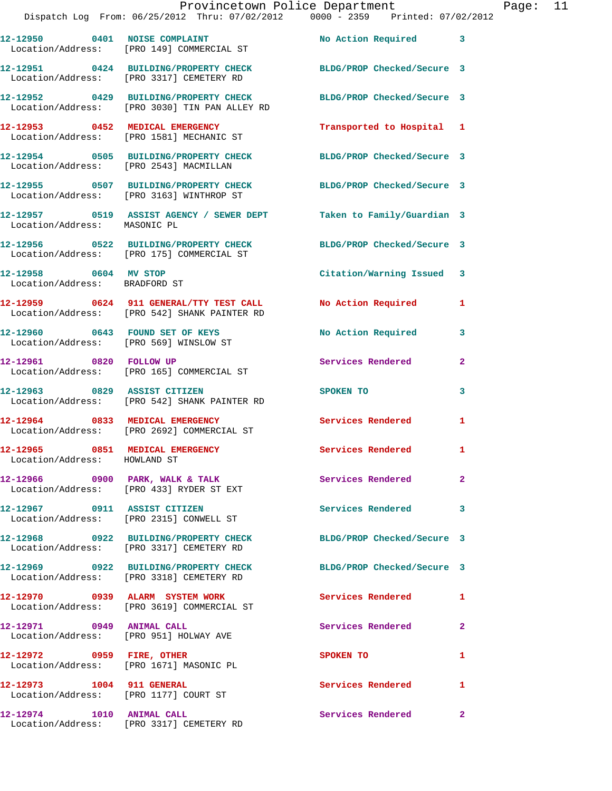|                                                                 | Dispatch Log From: 06/25/2012 Thru: 07/02/2012 0000 - 2359 Printed: 07/02/2012                                    | Provincetown Police Department       |                | Page: 11 |  |
|-----------------------------------------------------------------|-------------------------------------------------------------------------------------------------------------------|--------------------------------------|----------------|----------|--|
|                                                                 | 12-12950 0401 NOISE COMPLAINT<br>Location/Address: [PRO 149] COMMERCIAL ST                                        | No Action Required 3                 |                |          |  |
|                                                                 | 12-12951 0424 BUILDING/PROPERTY CHECK BLDG/PROP Checked/Secure 3<br>Location/Address: [PRO 3317] CEMETERY RD      |                                      |                |          |  |
|                                                                 | 12-12952 0429 BUILDING/PROPERTY CHECK BLDG/PROP Checked/Secure 3<br>Location/Address: [PRO 3030] TIN PAN ALLEY RD |                                      |                |          |  |
|                                                                 | 12-12953 0452 MEDICAL EMERGENCY<br>Location/Address: [PRO 1581] MECHANIC ST                                       | Transported to Hospital 1            |                |          |  |
|                                                                 | 12-12954 0505 BUILDING/PROPERTY CHECK BLDG/PROP Checked/Secure 3<br>Location/Address: [PRO 2543] MACMILLAN        |                                      |                |          |  |
|                                                                 | 12-12955 0507 BUILDING/PROPERTY CHECK BLDG/PROP Checked/Secure 3<br>Location/Address: [PRO 3163] WINTHROP ST      |                                      |                |          |  |
| Location/Address: MASONIC PL                                    | 12-12957 0519 ASSIST AGENCY / SEWER DEPT Taken to Family/Guardian 3                                               |                                      |                |          |  |
|                                                                 | 12-12956 0522 BUILDING/PROPERTY CHECK BLDG/PROP Checked/Secure 3<br>Location/Address: [PRO 175] COMMERCIAL ST     |                                      |                |          |  |
| 12-12958 0604 MV STOP<br>Location/Address: BRADFORD ST          |                                                                                                                   | Citation/Warning Issued 3            |                |          |  |
|                                                                 | 12-12959 0624 911 GENERAL/TTY TEST CALL No Action Required<br>Location/Address: [PRO 542] SHANK PAINTER RD        |                                      | -1             |          |  |
|                                                                 | 12-12960 0643 FOUND SET OF KEYS<br>Location/Address: [PRO 569] WINSLOW ST                                         | No Action Required 3                 |                |          |  |
|                                                                 | 12-12961 0820 FOLLOW UP<br>Location/Address: [PRO 165] COMMERCIAL ST                                              | Services Rendered                    | $\mathbf{2}$   |          |  |
|                                                                 | 12-12963 0829 ASSIST CITIZEN<br>Location/Address: [PRO 542] SHANK PAINTER RD                                      | SPOKEN TO AND TO A THE SPOKEN TO     | 3              |          |  |
|                                                                 | 12-12964 0833 MEDICAL EMERGENCY<br>Location/Address: [PRO 2692] COMMERCIAL ST                                     | Services Rendered                    | 1              |          |  |
| 12-12965 0851 MEDICAL EMERGENCY<br>Location/Address: HOWLAND ST |                                                                                                                   | Services Rendered 1                  |                |          |  |
|                                                                 | 12-12966 0900 PARK, WALK & TALK<br>Location/Address: [PRO 433] RYDER ST EXT                                       | Services Rendered                    | $\overline{2}$ |          |  |
|                                                                 | 12-12967 0911 ASSIST CITIZEN<br>Location/Address: [PRO 2315] CONWELL ST                                           | Services Rendered 3                  |                |          |  |
|                                                                 | 12-12968 0922 BUILDING/PROPERTY CHECK BLDG/PROP Checked/Secure 3<br>Location/Address: [PRO 3317] CEMETERY RD      |                                      |                |          |  |
|                                                                 | 12-12969 0922 BUILDING/PROPERTY CHECK BLDG/PROP Checked/Secure 3<br>Location/Address: [PRO 3318] CEMETERY RD      |                                      |                |          |  |
|                                                                 | 12-12970 0939 ALARM SYSTEM WORK<br>Location/Address: [PRO 3619] COMMERCIAL ST                                     | <b>Services Rendered</b>             | -1             |          |  |
|                                                                 | 12-12971 0949 ANIMAL CALL<br>Location/Address: [PRO 951] HOLWAY AVE                                               | Services Rendered                    | $\mathbf{2}$   |          |  |
|                                                                 | 12-12972 0959 FIRE, OTHER<br>Location/Address: [PRO 1671] MASONIC PL                                              | SPOKEN TO THE STATE OF THE SPOKEN TO | 1              |          |  |
| 12-12973 1004 911 GENERAL                                       | Location/Address: [PRO 1177] COURT ST                                                                             | Services Rendered                    | $\mathbf{1}$   |          |  |
| 12-12974 1010 ANIMAL CALL                                       |                                                                                                                   | Services Rendered 2                  |                |          |  |

Location/Address: [PRO 3317] CEMETERY RD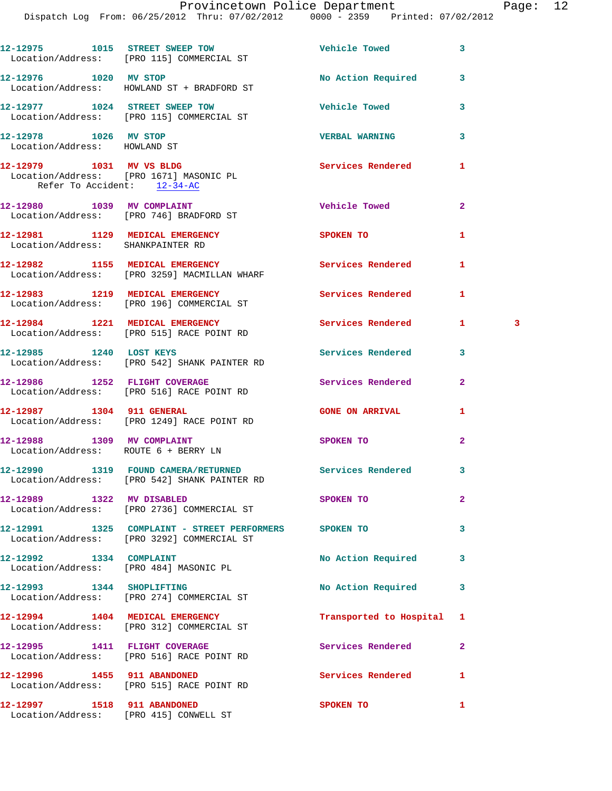Dispatch Log From: 06/25/2012 Thru: 07/02/2012 0000 - 2359 Printed: 07/02/2012

| 12-12975 1015 STREET SWEEP TOW<br>Location/Address: [PRO 115] COMMERCIAL ST<br>12-12976 1020 MV STOP  | <b>Vehicle Towed</b>     | 3            |    |
|-------------------------------------------------------------------------------------------------------|--------------------------|--------------|----|
|                                                                                                       |                          |              |    |
| Location/Address: HOWLAND ST + BRADFORD ST                                                            | No Action Required       | 3            |    |
| 12-12977 1024 STREET SWEEP TOW<br>Location/Address: [PRO 115] COMMERCIAL ST                           | <b>Vehicle Towed</b>     | 3            |    |
| 12-12978 1026 MV STOP<br>Location/Address: HOWLAND ST                                                 | <b>VERBAL WARNING</b>    | 3            |    |
| 12-12979 1031 MV VS BLDG<br>Location/Address: [PRO 1671] MASONIC PL<br>Refer To Accident: 12-34-AC    | <b>Services Rendered</b> | 1            |    |
| 12-12980 1039 MV COMPLAINT<br>Location/Address: [PRO 746] BRADFORD ST                                 | <b>Vehicle Towed</b>     | $\mathbf{2}$ |    |
| 12-12981 1129 MEDICAL EMERGENCY<br>Location/Address: SHANKPAINTER RD                                  | SPOKEN TO                | 1            |    |
| 12-12982 1155 MEDICAL EMERGENCY<br>Location/Address: [PRO 3259] MACMILLAN WHARF                       | Services Rendered        | 1            |    |
| 12-12983 1219 MEDICAL EMERGENCY<br>Location/Address: [PRO 196] COMMERCIAL ST                          | Services Rendered        | 1            |    |
| 12-12984 1221 MEDICAL EMERGENCY<br>Location/Address: [PRO 515] RACE POINT RD                          | <b>Services Rendered</b> | 1.           | -3 |
| 12-12985 1240 LOST KEYS<br>Location/Address: [PRO 542] SHANK PAINTER RD                               | Services Rendered        | 3            |    |
| 12-12986 1252 FLIGHT COVERAGE<br>Location/Address: [PRO 516] RACE POINT RD                            | Services Rendered        | $\mathbf{2}$ |    |
| 12-12987 1304 911 GENERAL<br>Location/Address: [PRO 1249] RACE POINT RD                               | <b>GONE ON ARRIVAL</b>   | 1            |    |
| 12-12988 1309 MV COMPLAINT<br>Location/Address: ROUTE 6 + BERRY LN                                    | SPOKEN TO                | $\mathbf{2}$ |    |
| 12-12990 1319 FOUND CAMERA/RETURNED Services Rendered<br>Location/Address: [PRO 542] SHANK PAINTER RD |                          | 3            |    |
| 12-12989 1322 MV DISABLED<br>Location/Address: [PRO 2736] COMMERCIAL ST                               | SPOKEN TO                | $\mathbf{2}$ |    |
| 12-12991 1325 COMPLAINT - STREET PERFORMERS SPOKEN TO<br>Location/Address: [PRO 3292] COMMERCIAL ST   |                          | 3            |    |
| 12-12992 1334 COMPLAINT<br>Location/Address: [PRO 484] MASONIC PL                                     | No Action Required       | 3            |    |
| 12-12993 1344 SHOPLIFTING<br>Location/Address: [PRO 274] COMMERCIAL ST                                | No Action Required       | 3            |    |
| 12-12994 1404 MEDICAL EMERGENCY<br>Location/Address: [PRO 312] COMMERCIAL ST                          | Transported to Hospital  | 1            |    |
| 12-12995 1411 FLIGHT COVERAGE<br>Location/Address: [PRO 516] RACE POINT RD                            | Services Rendered        | $\mathbf{2}$ |    |
| 12-12996 1455 911 ABANDONED<br>Location/Address: [PRO 515] RACE POINT RD                              | Services Rendered        | 1            |    |
| 12-12997 1518 911 ABANDONED<br>Location/Address: [PRO 415] CONWELL ST                                 | SPOKEN TO                | 1            |    |
|                                                                                                       |                          |              |    |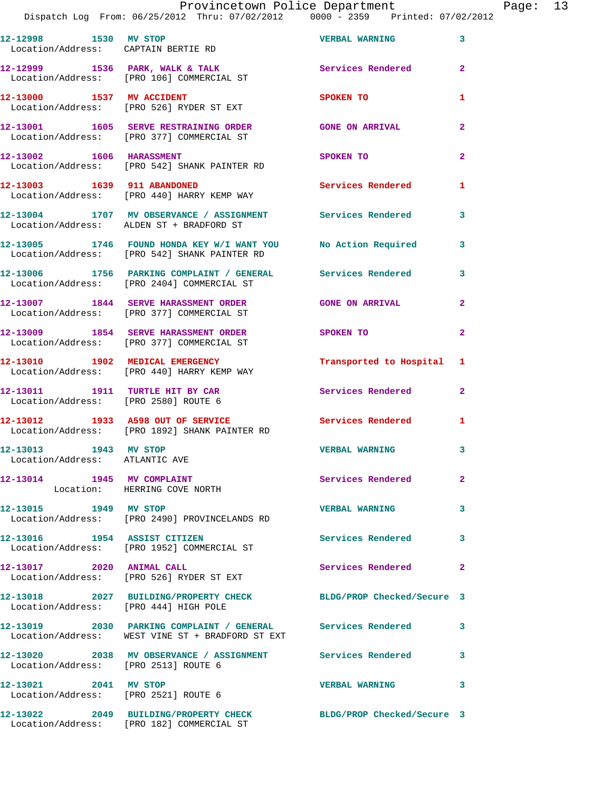## Provincetown Police Department Page: 13

Dispatch Log From: 06/25/2012 Thru: 07/02/2012 0000 - 2359 Printed: 07/02/2012

| 12-12998 1530 MV STOP<br>Location/Address: CAPTAIN BERTIE RD            |                                                                                                                 | <b>VERBAL WARNING</b>      | 3              |
|-------------------------------------------------------------------------|-----------------------------------------------------------------------------------------------------------------|----------------------------|----------------|
|                                                                         | 12-12999 1536 PARK, WALK & TALK<br>Location/Address: [PRO 106] COMMERCIAL ST                                    | <b>Services Rendered</b>   | $\overline{2}$ |
| 12-13000 1537 MV ACCIDENT                                               | Location/Address: [PRO 526] RYDER ST EXT                                                                        | <b>SPOKEN TO</b>           | $\mathbf{1}$   |
|                                                                         | 12-13001 1605 SERVE RESTRAINING ORDER<br>Location/Address: [PRO 377] COMMERCIAL ST                              | <b>GONE ON ARRIVAL</b>     | $\mathbf{2}$   |
| 12-13002 1606 HARASSMENT                                                | Location/Address: [PRO 542] SHANK PAINTER RD                                                                    | SPOKEN TO                  | $\overline{a}$ |
| 12-13003 1639 911 ABANDONED                                             | Location/Address: [PRO 440] HARRY KEMP WAY                                                                      | Services Rendered          | 1              |
|                                                                         | 12-13004 1707 MV OBSERVANCE / ASSIGNMENT Services Rendered<br>Location/Address: ALDEN ST + BRADFORD ST          |                            | 3              |
|                                                                         | 12-13005 1746 FOUND HONDA KEY W/I WANT YOU No Action Required<br>Location/Address: [PRO 542] SHANK PAINTER RD   |                            | 3              |
|                                                                         | 12-13006 1756 PARKING COMPLAINT / GENERAL Services Rendered<br>Location/Address: [PRO 2404] COMMERCIAL ST       |                            | 3              |
|                                                                         | 12-13007 1844 SERVE HARASSMENT ORDER<br>Location/Address: [PRO 377] COMMERCIAL ST                               | <b>GONE ON ARRIVAL</b>     | $\overline{a}$ |
|                                                                         | 12-13009 1854 SERVE HARASSMENT ORDER<br>Location/Address: [PRO 377] COMMERCIAL ST                               | SPOKEN TO                  | $\overline{2}$ |
|                                                                         | 12-13010 1902 MEDICAL EMERGENCY<br>Location/Address: [PRO 440] HARRY KEMP WAY                                   | Transported to Hospital 1  |                |
| 12-13011 1911 TURTLE HIT BY CAR<br>Location/Address: [PRO 2580] ROUTE 6 |                                                                                                                 | Services Rendered          | $\mathbf{2}$   |
|                                                                         | 12-13012 1933 A598 OUT OF SERVICE<br>Location/Address: [PRO 1892] SHANK PAINTER RD                              | <b>Services Rendered</b>   | 1              |
| 12-13013 1943 MV STOP<br>Location/Address: ATLANTIC AVE                 |                                                                                                                 | <b>VERBAL WARNING</b>      | 3              |
| 12-13014 1945 MV COMPLAINT                                              | Location: HERRING COVE NORTH                                                                                    | Services Rendered          | $\mathbf{2}^-$ |
| 12-13015 1949 MV STOP                                                   | Location/Address: [PRO 2490] PROVINCELANDS RD                                                                   | <b>VERBAL WARNING</b>      | 3              |
| 12-13016 1954 ASSIST CITIZEN                                            | Location/Address: [PRO 1952] COMMERCIAL ST                                                                      | <b>Services Rendered</b>   | 3              |
| 12-13017 2020 ANIMAL CALL                                               | Location/Address: [PRO 526] RYDER ST EXT                                                                        | <b>Services Rendered</b>   | $\mathbf{2}$   |
| Location/Address: [PRO 444] HIGH POLE                                   | 12-13018 2027 BUILDING/PROPERTY CHECK                                                                           | BLDG/PROP Checked/Secure 3 |                |
|                                                                         | 12-13019 2030 PARKING COMPLAINT / GENERAL Services Rendered<br>Location/Address: WEST VINE ST + BRADFORD ST EXT |                            | 3              |
| Location/Address: [PRO 2513] ROUTE 6                                    | 12-13020 2038 MV OBSERVANCE / ASSIGNMENT Services Rendered                                                      |                            | 3              |
| 12-13021 2041 MV STOP                                                   | Location/Address: [PRO 2521] ROUTE 6                                                                            | <b>VERBAL WARNING</b>      | 3              |
|                                                                         | 12-13022 2049 BUILDING/PROPERTY CHECK<br>Location/Address: [PRO 182] COMMERCIAL ST                              | BLDG/PROP Checked/Secure 3 |                |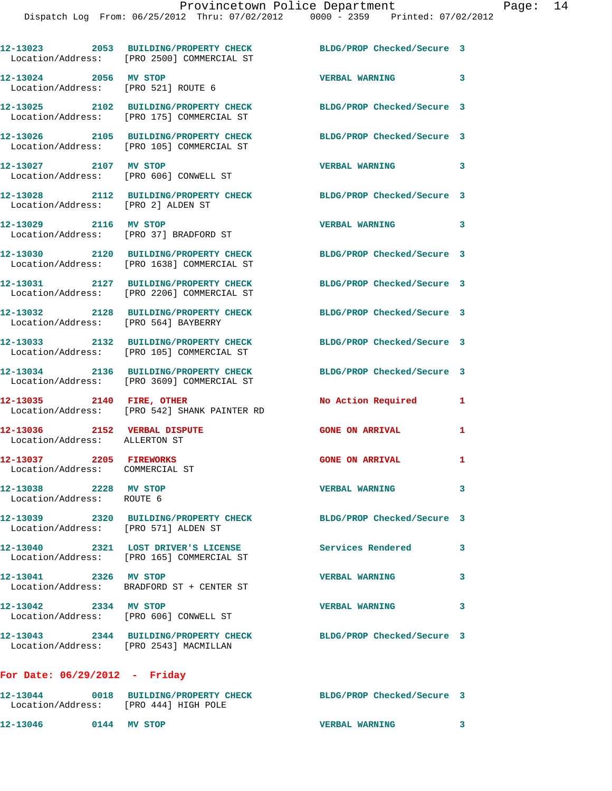|                                                               | 12-13023 2053 BUILDING/PROPERTY CHECK<br>Location/Address: [PRO 2500] COMMERCIAL ST                           | BLDG/PROP Checked/Secure 3 |                         |
|---------------------------------------------------------------|---------------------------------------------------------------------------------------------------------------|----------------------------|-------------------------|
| 12-13024 2056 MV STOP<br>Location/Address: [PRO 521] ROUTE 6  |                                                                                                               | <b>VERBAL WARNING</b>      | $\mathbf{3}$            |
|                                                               | 12-13025 2102 BUILDING/PROPERTY CHECK<br>Location/Address: [PRO 175] COMMERCIAL ST                            | BLDG/PROP Checked/Secure 3 |                         |
|                                                               | 12-13026 2105 BUILDING/PROPERTY CHECK BLDG/PROP Checked/Secure 3<br>Location/Address: [PRO 105] COMMERCIAL ST |                            |                         |
| 12-13027 2107 MV STOP                                         | Location/Address: [PRO 606] CONWELL ST                                                                        | VERBAL WARNING             | 3                       |
|                                                               | 12-13028 2112 BUILDING/PROPERTY CHECK BLDG/PROP Checked/Secure 3<br>Location/Address: [PRO 2] ALDEN ST        |                            |                         |
| 12-13029 2116 MV STOP                                         | Location/Address: [PRO 37] BRADFORD ST                                                                        | <b>VERBAL WARNING</b>      | $\overline{\mathbf{3}}$ |
|                                                               | 12-13030 2120 BUILDING/PROPERTY CHECK<br>Location/Address: [PRO 1638] COMMERCIAL ST                           | BLDG/PROP Checked/Secure 3 |                         |
|                                                               | 12-13031 2127 BUILDING/PROPERTY CHECK<br>Location/Address: [PRO 2206] COMMERCIAL ST                           | BLDG/PROP Checked/Secure 3 |                         |
| Location/Address: [PRO 564] BAYBERRY                          | 12-13032 2128 BUILDING/PROPERTY CHECK                                                                         | BLDG/PROP Checked/Secure 3 |                         |
|                                                               | 12-13033 2132 BUILDING/PROPERTY CHECK<br>Location/Address: [PRO 105] COMMERCIAL ST                            | BLDG/PROP Checked/Secure 3 |                         |
|                                                               | 12-13034 2136 BUILDING/PROPERTY CHECK<br>Location/Address: [PRO 3609] COMMERCIAL ST                           | BLDG/PROP Checked/Secure 3 |                         |
| 12-13035 2140 FIRE, OTHER                                     | Location/Address: [PRO 542] SHANK PAINTER RD                                                                  | No Action Required         | 1                       |
| 12-13036 2152 VERBAL DISPUTE<br>Location/Address: ALLERTON ST |                                                                                                               | <b>GONE ON ARRIVAL</b>     | 1                       |
| 12-13037 2205 FIREWORKS<br>Location/Address: COMMERCIAL ST    |                                                                                                               | <b>GONE ON ARRIVAL</b>     | 1                       |
| 12-13038 2228 MV STOP<br>Location/Address: ROUTE 6            |                                                                                                               | <b>VERBAL WARNING</b>      |                         |
| Location/Address: [PRO 571] ALDEN ST                          | 12-13039 2320 BUILDING/PROPERTY CHECK                                                                         | BLDG/PROP Checked/Secure 3 |                         |
|                                                               | 12-13040 2321 LOST DRIVER'S LICENSE<br>Location/Address: [PRO 165] COMMERCIAL ST                              | Services Rendered          | 3                       |
| 12-13041 2326 MV STOP                                         | Location/Address: BRADFORD ST + CENTER ST                                                                     | <b>VERBAL WARNING</b>      | 3                       |
| 12-13042 2334 MV STOP                                         | Location/Address: [PRO 606] CONWELL ST                                                                        | <b>VERBAL WARNING</b>      | 3                       |
| Location/Address: [PRO 2543] MACMILLAN                        | 12-13043 2344 BUILDING/PROPERTY CHECK                                                                         | BLDG/PROP Checked/Secure 3 |                         |
| For Date: $06/29/2012$ - Friday                               |                                                                                                               |                            |                         |
|                                                               | 12-13044 0018 BUILDING/PROPERTY CHECK                                                                         | BLDG/PROP Checked/Secure 3 |                         |

**12-13046 0144 MV STOP VERBAL WARNING 3** 

Location/Address: [PRO 444] HIGH POLE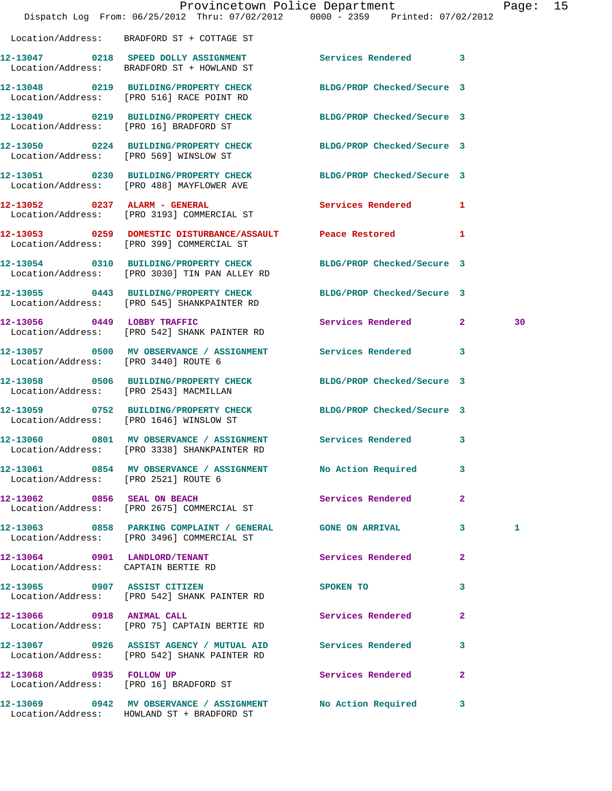|                                        | Dispatch Log From: 06/25/2012 Thru: 07/02/2012 0000 - 2359 Printed: 07/02/2012                                    | Provincetown Police Department |              | Page: 15 |  |
|----------------------------------------|-------------------------------------------------------------------------------------------------------------------|--------------------------------|--------------|----------|--|
|                                        | Location/Address: BRADFORD ST + COTTAGE ST                                                                        |                                |              |          |  |
|                                        | 12-13047 0218 SPEED DOLLY ASSIGNMENT Services Rendered 3<br>Location/Address: BRADFORD ST + HOWLAND ST            |                                |              |          |  |
|                                        | 12-13048 0219 BUILDING/PROPERTY CHECK BLDG/PROP Checked/Secure 3<br>Location/Address: [PRO 516] RACE POINT RD     |                                |              |          |  |
|                                        | 12-13049 0219 BUILDING/PROPERTY CHECK BLDG/PROP Checked/Secure 3<br>Location/Address: [PRO 16] BRADFORD ST        |                                |              |          |  |
| Location/Address: [PRO 569] WINSLOW ST | 12-13050 0224 BUILDING/PROPERTY CHECK BLDG/PROP Checked/Secure 3                                                  |                                |              |          |  |
|                                        | 12-13051 0230 BUILDING/PROPERTY CHECK BLDG/PROP Checked/Secure 3<br>Location/Address: [PRO 488] MAYFLOWER AVE     |                                |              |          |  |
|                                        | 12-13052 0237 ALARM - GENERAL<br>Location/Address: [PRO 3193] COMMERCIAL ST                                       | Services Rendered 1            |              |          |  |
|                                        | 12-13053 0259 DOMESTIC DISTURBANCE/ASSAULT Peace Restored 1<br>Location/Address: [PRO 399] COMMERCIAL ST          |                                |              |          |  |
|                                        | 12-13054 0310 BUILDING/PROPERTY CHECK BLDG/PROP Checked/Secure 3<br>Location/Address: [PRO 3030] TIN PAN ALLEY RD |                                |              |          |  |
|                                        | 12-13055 0443 BUILDING/PROPERTY CHECK BLDG/PROP Checked/Secure 3<br>Location/Address: [PRO 545] SHANKPAINTER RD   |                                |              |          |  |
|                                        | 12-13056 0449 LOBBY TRAFFIC<br>Location/Address: [PRO 542] SHANK PAINTER RD                                       | Services Rendered 2            |              | 30       |  |
| Location/Address: [PRO 3440] ROUTE 6   | 12-13057 0500 MV OBSERVANCE / ASSIGNMENT Services Rendered 3                                                      |                                |              |          |  |
| Location/Address: [PRO 2543] MACMILLAN | 12-13058 0506 BUILDING/PROPERTY CHECK                                                                             | BLDG/PROP Checked/Secure 3     |              |          |  |
|                                        | 12-13059 0752 BUILDING/PROPERTY CHECK BLDG/PROP Checked/Secure 3<br>Location/Address: [PRO 1646] WINSLOW ST       |                                |              |          |  |
| 12-13060                               | 0801 MV OBSERVANCE / ASSIGNMENT Services Rendered<br>Location/Address: [PRO 3338] SHANKPAINTER RD                 |                                | $\mathbf{3}$ |          |  |
| Location/Address: [PRO 2521] ROUTE 6   | 12-13061 0854 MV OBSERVANCE / ASSIGNMENT No Action Required                                                       |                                | 3            |          |  |
|                                        | 12-13062 0856 SEAL ON BEACH<br>Location/Address: [PRO 2675] COMMERCIAL ST                                         | Services Rendered              | $\mathbf{2}$ |          |  |
|                                        | 12-13063 0858 PARKING COMPLAINT / GENERAL GONE ON ARRIVAL 3<br>Location/Address: [PRO 3496] COMMERCIAL ST         |                                |              | 1        |  |
| Location/Address: CAPTAIN BERTIE RD    | 12-13064 0901 LANDLORD/TENANT                                                                                     | Services Rendered              | $\mathbf{2}$ |          |  |
|                                        | 12-13065 0907 ASSIST CITIZEN<br>Location/Address: [PRO 542] SHANK PAINTER RD                                      | SPOKEN TO                      | 3            |          |  |
|                                        | 12-13066 0918 ANIMAL CALL<br>Location/Address: [PRO 75] CAPTAIN BERTIE RD                                         | Services Rendered              | $\mathbf{2}$ |          |  |
|                                        | 12-13067 0926 ASSIST AGENCY / MUTUAL AID Services Rendered 3<br>Location/Address: [PRO 542] SHANK PAINTER RD      |                                |              |          |  |
|                                        | 12-13068 0935 FOLLOW UP<br>Location/Address: [PRO 16] BRADFORD ST                                                 | Services Rendered              | $\mathbf{2}$ |          |  |
|                                        | 12-13069 0942 MV OBSERVANCE / ASSIGNMENT No Action Required 3<br>Location/Address: HOWLAND ST + BRADFORD ST       |                                |              |          |  |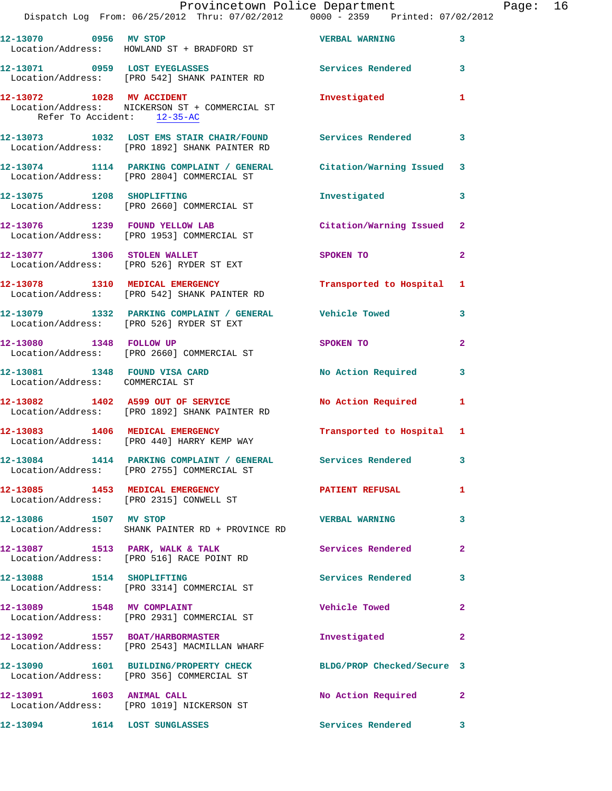|                                 | Provincetown Police Department Page: 16<br>Dispatch Log From: 06/25/2012 Thru: 07/02/2012                0000 - 2359   Printed: 07/02/2012 |                                                                                                                |              |  |
|---------------------------------|--------------------------------------------------------------------------------------------------------------------------------------------|----------------------------------------------------------------------------------------------------------------|--------------|--|
|                                 | 12-13070 0956 MV STOP CONTROL TO BE VERBAL WARNING 3<br>Location/Address: HOWLAND ST + BRADFORD ST                                         |                                                                                                                |              |  |
|                                 | 12-13071 0959 LOST EYEGLASSES Services Rendered 3<br>Location/Address: [PRO 542] SHANK PAINTER RD                                          |                                                                                                                |              |  |
| Refer To Accident: 12-35-AC     | 12-13072 1028 MV ACCIDENT<br>Location/Address: NICKERSON ST + COMMERCIAL ST                                                                | Investigated                                                                                                   | $\mathbf{1}$ |  |
|                                 | 12-13073 1032 LOST EMS STAIR CHAIR/FOUND Services Rendered 3<br>Location/Address: [PRO 1892] SHANK PAINTER RD                              |                                                                                                                |              |  |
|                                 | 12-13074 1114 PARKING COMPLAINT / GENERAL Citation/Warning Issued 3<br>Location/Address: [PRO 2804] COMMERCIAL ST                          |                                                                                                                |              |  |
|                                 | 12-13075 1208 SHOPLIFTING<br>Location/Address: [PRO 2660] COMMERCIAL ST                                                                    | Investigated                                                                                                   | 3            |  |
|                                 | 12-13076 1239 FOUND YELLOW LAB Citation/Warning Issued 2<br>Location/Address: [PRO 1953] COMMERCIAL ST                                     |                                                                                                                |              |  |
|                                 | 12-13077 1306 STOLEN WALLET<br>Location/Address: [PRO 526] RYDER ST EXT                                                                    | SPOKEN TO THE SPOKEN OF THE SPOKEN OF THE SPOKEN OF THE SPOKEN OF THE SPOKEN OF THE SPOKEN OF THE SPOKEN OF TH | $\mathbf{2}$ |  |
|                                 | 12-13078 1310 MEDICAL EMERGENCY<br>Location/Address: [PRO 542] SHANK PAINTER RD                                                            | Transported to Hospital 1                                                                                      |              |  |
|                                 | 12-13079 1332 PARKING COMPLAINT / GENERAL Vehicle Towed<br>Location/Address: [PRO 526] RYDER ST EXT                                        |                                                                                                                | 3            |  |
|                                 | 12-13080 1348 FOLLOW UP<br>Location/Address: [PRO 2660] COMMERCIAL ST                                                                      | SPOKEN TO AND TO A STATE OF THE STATE OF THE STATE OF THE STATE OF THE STATE OF THE STATE OF THE STATE OF THE  | $\mathbf{2}$ |  |
| Location/Address: COMMERCIAL ST | 12-13081 1348 FOUND VISA CARD No Action Required                                                                                           |                                                                                                                | 3            |  |
|                                 | 12-13082 1402 A599 OUT OF SERVICE<br>Location/Address: [PRO 1892] SHANK PAINTER RD                                                         | No Action Required 1                                                                                           |              |  |
|                                 | 12-13083 1406 MEDICAL EMERGENCY<br>Location/Address: [PRO 440] HARRY KEMP WAY                                                              | Transported to Hospital 1                                                                                      |              |  |
|                                 | 12-13084 1414 PARKING COMPLAINT / GENERAL Services Rendered 3<br>Location/Address: [PRO 2755] COMMERCIAL ST                                |                                                                                                                |              |  |
|                                 | 12-13085 1453 MEDICAL EMERGENCY<br>Location/Address: [PRO 2315] CONWELL ST                                                                 | PATIENT REFUSAL                                                                                                | $\mathbf{1}$ |  |
| 12-13086 1507 MV STOP           | Location/Address: SHANK PAINTER RD + PROVINCE RD                                                                                           | VERBAL WARNING 3                                                                                               |              |  |
|                                 | 12-13087 1513 PARK, WALK & TALK 1988 Services Rendered<br>Location/Address: [PRO 516] RACE POINT RD                                        |                                                                                                                | $\mathbf{2}$ |  |
| 12-13088 1514 SHOPLIFTING       | Location/Address: [PRO 3314] COMMERCIAL ST                                                                                                 | Services Rendered 3                                                                                            |              |  |
|                                 | 12-13089 1548 MV COMPLAINT<br>Location/Address: [PRO 2931] COMMERCIAL ST                                                                   | Vehicle Towed <b>Seat 1996</b>                                                                                 | $\mathbf{2}$ |  |
|                                 | 12-13092 1557 BOAT/HARBORMASTER<br>Location/Address: [PRO 2543] MACMILLAN WHARF                                                            | Investigated                                                                                                   | $\mathbf{2}$ |  |
|                                 | 12-13090 1601 BUILDING/PROPERTY CHECK BLDG/PROP Checked/Secure 3<br>Location/Address: [PRO 356] COMMERCIAL ST                              |                                                                                                                |              |  |
| 12-13091 1603 ANIMAL CALL       | Location/Address: [PRO 1019] NICKERSON ST                                                                                                  | No Action Required 2                                                                                           |              |  |
| 12-13094 1614 LOST SUNGLASSES   |                                                                                                                                            | Services Rendered 3                                                                                            |              |  |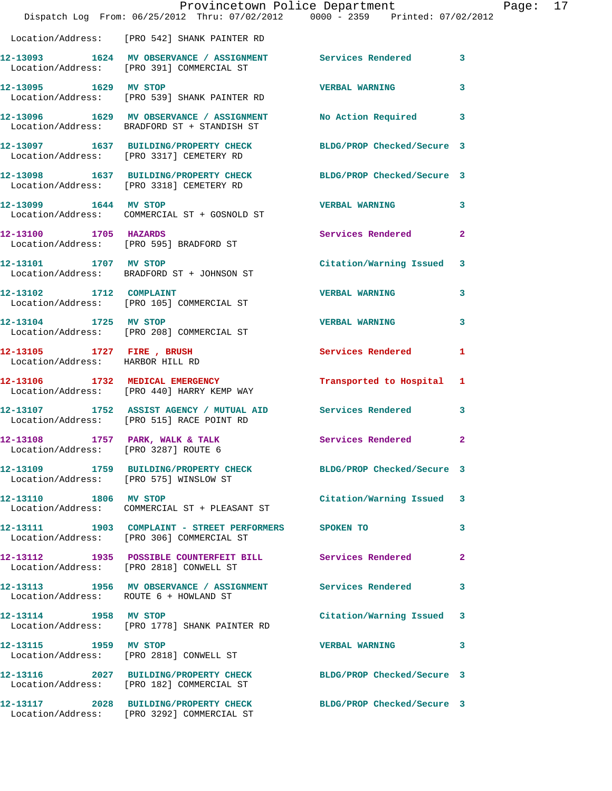|                                                  | Provincetown Police Department                                                                               |                            |                |
|--------------------------------------------------|--------------------------------------------------------------------------------------------------------------|----------------------------|----------------|
|                                                  | Dispatch Log From: 06/25/2012 Thru: 07/02/2012 0000 - 2359 Printed: 07/02/2012                               |                            |                |
|                                                  | Location/Address: [PRO 542] SHANK PAINTER RD                                                                 |                            |                |
|                                                  | 12-13093 1624 MV OBSERVANCE / ASSIGNMENT Services Rendered<br>Location/Address: [PRO 391] COMMERCIAL ST      |                            | 3              |
| 12-13095 1629 MV STOP                            | Location/Address: [PRO 539] SHANK PAINTER RD                                                                 | <b>VERBAL WARNING</b>      | 3              |
|                                                  | 12-13096 1629 MV OBSERVANCE / ASSIGNMENT<br>Location/Address: BRADFORD ST + STANDISH ST                      | No Action Required         | 3              |
|                                                  | 12-13097 1637 BUILDING/PROPERTY CHECK BLDG/PROP Checked/Secure 3<br>Location/Address: [PRO 3317] CEMETERY RD |                            |                |
|                                                  | 12-13098 1637 BUILDING/PROPERTY CHECK<br>Location/Address: [PRO 3318] CEMETERY RD                            | BLDG/PROP Checked/Secure 3 |                |
| 12-13099 1644 MV STOP                            | Location/Address: COMMERCIAL ST + GOSNOLD ST                                                                 | <b>VERBAL WARNING</b>      | 3              |
| 12-13100 1705 HAZARDS                            | Location/Address: [PRO 595] BRADFORD ST                                                                      | Services Rendered          | $\overline{a}$ |
| 12-13101 1707 MV STOP                            | Location/Address: BRADFORD ST + JOHNSON ST                                                                   | Citation/Warning Issued    | 3              |
| 12-13102 1712 COMPLAINT                          | Location/Address: [PRO 105] COMMERCIAL ST                                                                    | <b>VERBAL WARNING</b>      | 3              |
| 12-13104 1725 MV STOP                            |                                                                                                              | <b>VERBAL WARNING</b>      | 3              |
| 12-13105 1727 FIRE , BRUSH                       | Location/Address: [PRO 208] COMMERCIAL ST                                                                    | <b>Services Rendered</b>   | 1              |
| Location/Address: HARBOR HILL RD                 | 12-13106 1732 MEDICAL EMERGENCY                                                                              | Transported to Hospital    | 1              |
|                                                  | Location/Address: [PRO 440] HARRY KEMP WAY                                                                   |                            |                |
|                                                  | 12-13107 1752 ASSIST AGENCY / MUTUAL AID Services Rendered<br>Location/Address: [PRO 515] RACE POINT RD      |                            | 3              |
| 12-13108<br>Location/Address: [PRO 3287] ROUTE 6 | 1757 PARK, WALK & TALK                                                                                       | Services Rendered          | 2              |
| Location/Address: [PRO 575] WINSLOW ST           | 12-13109 1759 BUILDING/PROPERTY CHECK BLDG/PROP Checked/Secure 3                                             |                            |                |
| 12-13110 1806 MV STOP                            | Location/Address: COMMERCIAL ST + PLEASANT ST                                                                | Citation/Warning Issued    | 3              |
|                                                  | 12-13111 1903 COMPLAINT - STREET PERFORMERS SPOKEN TO<br>Location/Address: [PRO 306] COMMERCIAL ST           |                            | 3              |
|                                                  | 12-13112 1935 POSSIBLE COUNTERFEIT BILL Services Rendered<br>Location/Address: [PRO 2818] CONWELL ST         |                            | $\overline{a}$ |
| Location/Address: ROUTE 6 + HOWLAND ST           | 12-13113 1956 MV OBSERVANCE / ASSIGNMENT Services Rendered                                                   |                            | 3              |
| 12-13114 1958 MV STOP                            | Location/Address: [PRO 1778] SHANK PAINTER RD                                                                | Citation/Warning Issued    | 3              |
| 12-13115 1959 MV STOP                            | Location/Address: [PRO 2818] CONWELL ST                                                                      | <b>VERBAL WARNING</b>      | 3              |
|                                                  | 12-13116 2027 BUILDING/PROPERTY CHECK<br>Location/Address: [PRO 182] COMMERCIAL ST                           | BLDG/PROP Checked/Secure 3 |                |
|                                                  | 12-13117 2028 BUILDING/PROPERTY CHECK BLDG/PROP Checked/Secure 3                                             |                            |                |

Location/Address: [PRO 3292] COMMERCIAL ST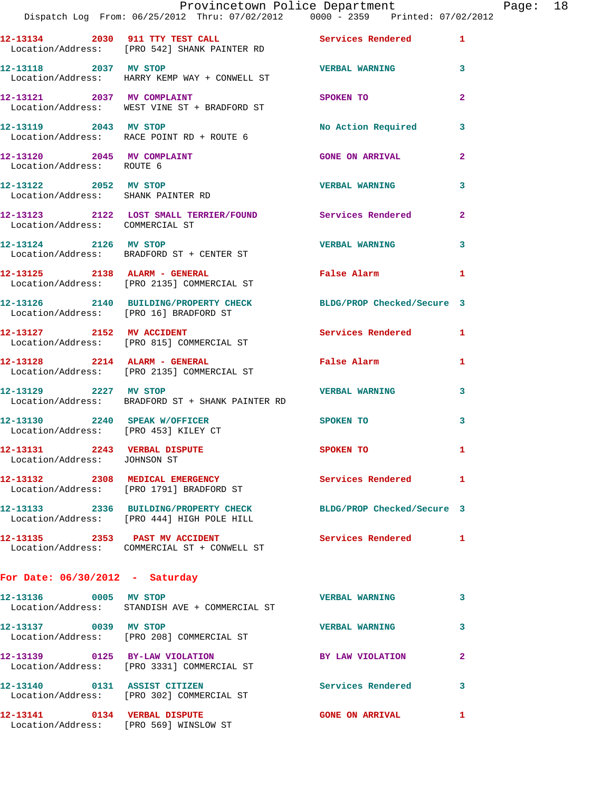|                                                              | Provincetown Police Department Fage: 18<br>Dispatch Log From: 06/25/2012 Thru: 07/02/2012 0000 - 2359 Printed: 07/02/2012 |                                                                                                                |              |
|--------------------------------------------------------------|---------------------------------------------------------------------------------------------------------------------------|----------------------------------------------------------------------------------------------------------------|--------------|
|                                                              | 12-13134 2030 911 TTY TEST CALL Services Rendered 1<br>Location/Address: [PRO 542] SHANK PAINTER RD                       |                                                                                                                |              |
| 12-13118 2037 MV STOP                                        | Location/Address: HARRY KEMP WAY + CONWELL ST                                                                             | <b>VERBAL WARNING</b> 3                                                                                        |              |
|                                                              | 12-13121 2037 MV COMPLAINT<br>Location/Address: WEST VINE ST + BRADFORD ST                                                | SPOKEN TO THE STATE OF THE STATE OF THE STATE OF THE STATE OF THE STATE OF THE STATE OF THE STATE OF THE STATE | $\mathbf{2}$ |
| 12-13119 2043 MV STOP                                        | Location/Address: RACE POINT RD + ROUTE 6                                                                                 | No Action Required 3                                                                                           |              |
| Location/Address: ROUTE 6                                    | 12-13120 2045 MV COMPLAINT                                                                                                | <b>GONE ON ARRIVAL</b>                                                                                         | $\mathbf{2}$ |
| Location/Address: SHANK PAINTER RD                           | 12-13122 2052 MV STOP                                                                                                     | <b>VERBAL WARNING</b>                                                                                          | 3            |
| Location/Address: COMMERCIAL ST                              | 12-13123 2122 LOST SMALL TERRIER/FOUND Services Rendered 2                                                                |                                                                                                                |              |
|                                                              | 12-13124 2126 MV STOP<br>Location/Address: BRADFORD ST + CENTER ST                                                        | <b>VERBAL WARNING</b>                                                                                          | 3            |
|                                                              | 12-13125 2138 ALARM - GENERAL<br>Location/Address: [PRO 2135] COMMERCIAL ST                                               | False Alarm 1                                                                                                  |              |
|                                                              | 12-13126 2140 BUILDING/PROPERTY CHECK BLDG/PROP Checked/Secure 3<br>Location/Address: [PRO 16] BRADFORD ST                |                                                                                                                |              |
|                                                              | 12-13127 2152 MV ACCIDENT<br>Location/Address: [PRO 815] COMMERCIAL ST                                                    | Services Rendered 1                                                                                            |              |
|                                                              | 12-13128 2214 ALARM - GENERAL<br>Location/Address: [PRO 2135] COMMERCIAL ST                                               | False Alarm and the state of the state of the state of the state of the state of the state of the state of the | 1            |
| 12-13129 2227 MV STOP                                        | Location/Address: BRADFORD ST + SHANK PAINTER RD                                                                          | VERBAL WARNING                                                                                                 | 3            |
|                                                              | 12-13130 2240 SPEAK W/OFFICER<br>Location/Address: [PRO 453] KILEY CT                                                     | SPOKEN TO                                                                                                      | 3            |
| 12-13131 2243 VERBAL DISPUTE<br>Location/Address: JOHNSON ST |                                                                                                                           | <b>SPOKEN TO</b>                                                                                               |              |
|                                                              | 12-13132 2308 MEDICAL EMERGENCY<br>Location/Address: [PRO 1791] BRADFORD ST                                               | <b>Services Rendered</b> 1                                                                                     |              |
|                                                              | 12-13133 2336 BUILDING/PROPERTY CHECK BLDG/PROP Checked/Secure 3<br>Location/Address: [PRO 444] HIGH POLE HILL            |                                                                                                                |              |
|                                                              | 12-13135 2353 PAST MV ACCIDENT<br>Location/Address: COMMERCIAL ST + CONWELL ST                                            | <b>Services Rendered</b> 1                                                                                     |              |
| For Date: $06/30/2012$ - Saturday                            |                                                                                                                           |                                                                                                                |              |
|                                                              | 12-13136 0005 MV STOP<br>Location/Address: STANDISH AVE + COMMERCIAL ST                                                   | <b>VERBAL WARNING</b>                                                                                          | 3            |
| 12-13137 0039 MV STOP                                        | Location/Address: [PRO 208] COMMERCIAL ST                                                                                 | <b>VERBAL WARNING</b>                                                                                          | 3            |
|                                                              | 12-13139 0125 BY-LAW VIOLATION<br>Location/Address: [PRO 3331] COMMERCIAL ST                                              | BY LAW VIOLATION                                                                                               | 2            |
| 12-13140 0131 ASSIST CITIZEN                                 | Location/Address: [PRO 302] COMMERCIAL ST                                                                                 | Services Rendered                                                                                              | 3            |
|                                                              | 12-13141 0134 VERBAL DISPUTE<br>Location/Address: [PRO 569] WINSLOW ST                                                    | <b>GONE ON ARRIVAL</b>                                                                                         | 1            |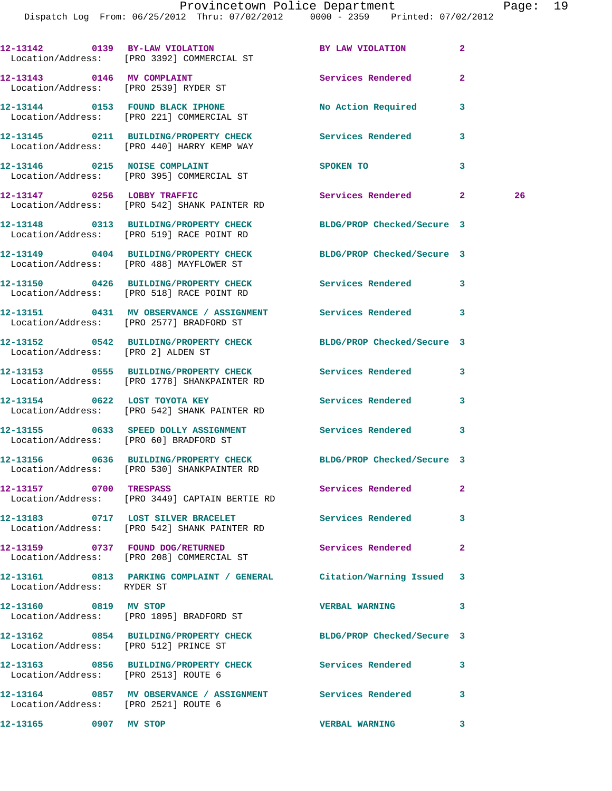**12-13142 0139 BY-LAW VIOLATION BY LAW VIOLATION 2**  Location/Address: [PRO 3392] COMMERCIAL ST **12-13143 0146 MV COMPLAINT Services Rendered 2**  Location/Address: [PRO 2539] RYDER ST **12-13144 0153 FOUND BLACK IPHONE No Action Required 3**  Location/Address: [PRO 221] COMMERCIAL ST **12-13145 0211 BUILDING/PROPERTY CHECK Services Rendered 3**  Location/Address: [PRO 440] HARRY KEMP WAY **12-13146 0215 NOISE COMPLAINT SPOKEN TO 3**  Location/Address: [PRO 395] COMMERCIAL ST 12-13147 0256 LOBBY TRAFFIC Services Rendered 2 26 Location/Address: [PRO 542] SHANK PAINTER RD **12-13148 0313 BUILDING/PROPERTY CHECK BLDG/PROP Checked/Secure 3**  Location/Address: [PRO 519] RACE POINT RD **12-13149 0404 BUILDING/PROPERTY CHECK BLDG/PROP Checked/Secure 3**  Location/Address: [PRO 488] MAYFLOWER ST **12-13150 0426 BUILDING/PROPERTY CHECK Services Rendered 3**  Location/Address: [PRO 518] RACE POINT RD **12-13151 0431 MV OBSERVANCE / ASSIGNMENT Services Rendered 3**  Location/Address: [PRO 2577] BRADFORD ST **12-13152 0542 BUILDING/PROPERTY CHECK BLDG/PROP Checked/Secure 3**  Location/Address: [PRO 2] ALDEN ST **12-13153 0555 BUILDING/PROPERTY CHECK Services Rendered 3**  Location/Address: [PRO 1778] SHANKPAINTER RD **12-13154 0622 LOST TOYOTA KEY Services Rendered 3**  Location/Address: [PRO 542] SHANK PAINTER RD **12-13155 0633 SPEED DOLLY ASSIGNMENT Services Rendered 3**  Location/Address: [PRO 60] BRADFORD ST **12-13156 0636 BUILDING/PROPERTY CHECK BLDG/PROP Checked/Secure 3**  Location/Address: [PRO 530] SHANKPAINTER RD **12-13157 0700 TRESPASS Services Rendered 2**  Location/Address: [PRO 3449] CAPTAIN BERTIE RD **12-13183 0717 LOST SILVER BRACELET Services Rendered 3**  Location/Address: [PRO 542] SHANK PAINTER RD **12-13159 0737 FOUND DOG/RETURNED Services Rendered 2**  Location/Address: [PRO 208] COMMERCIAL ST **12-13161 0813 PARKING COMPLAINT / GENERAL Citation/Warning Issued 3**  Location/Address: RYDER ST **12-13160 0819 MV STOP VERBAL WARNING 3**  Location/Address: [PRO 1895] BRADFORD ST **12-13162 0854 BUILDING/PROPERTY CHECK BLDG/PROP Checked/Secure 3**  Location/Address: [PRO 512] PRINCE ST **12-13163 0856 BUILDING/PROPERTY CHECK Services Rendered 3**  Location/Address: [PRO 2513] ROUTE 6 **12-13164 0857 MV OBSERVANCE / ASSIGNMENT Services Rendered 3**  Location/Address: [PRO 2521] ROUTE 6

**12-13165 0907 MV STOP VERBAL WARNING 3**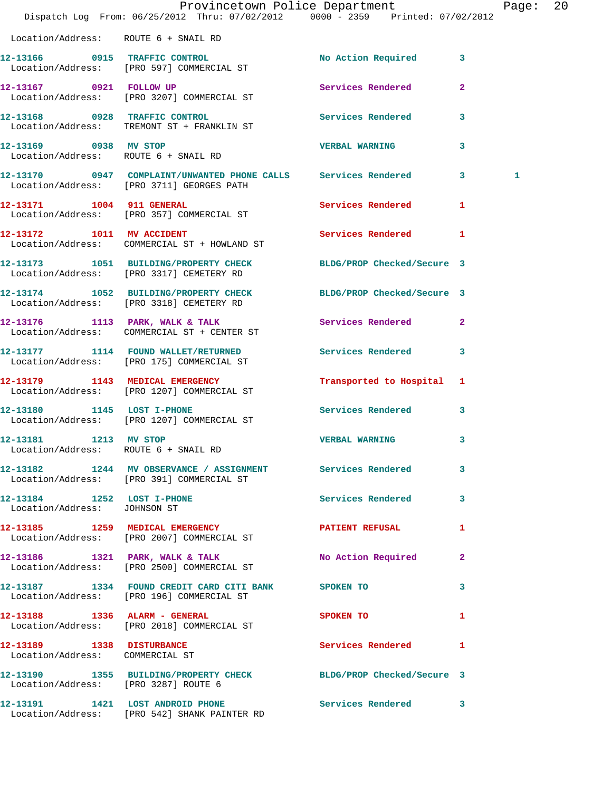|                                                               | Dispatch Log From: 06/25/2012 Thru: 07/02/2012 0000 - 2359 Printed: 07/02/2012                                | Provincetown Police Department |                | Page: 20 |  |
|---------------------------------------------------------------|---------------------------------------------------------------------------------------------------------------|--------------------------------|----------------|----------|--|
| Location/Address: ROUTE 6 + SNAIL RD                          |                                                                                                               |                                |                |          |  |
|                                                               | 12-13166 0915 TRAFFIC CONTROL<br>Location/Address: [PRO 597] COMMERCIAL ST                                    | No Action Required 3           |                |          |  |
|                                                               | 12-13167 0921 FOLLOW UP<br>Location/Address: [PRO 3207] COMMERCIAL ST                                         | Services Rendered              | $\overline{2}$ |          |  |
|                                                               | 12-13168 0928 TRAFFIC CONTROL<br>Location/Address: TREMONT ST + FRANKLIN ST                                   | Services Rendered 3            |                |          |  |
| 12-13169 0938 MV STOP<br>Location/Address: ROUTE 6 + SNAIL RD |                                                                                                               | <b>VERBAL WARNING</b>          | 3              |          |  |
|                                                               | 12-13170 0947 COMPLAINT/UNWANTED PHONE CALLS Services Rendered 3<br>Location/Address: [PRO 3711] GEORGES PATH |                                |                | 1        |  |
|                                                               | 12-13171 1004 911 GENERAL<br>Location/Address: [PRO 357] COMMERCIAL ST                                        | Services Rendered              | 1              |          |  |
| 12-13172 1011 MV ACCIDENT                                     | Location/Address: COMMERCIAL ST + HOWLAND ST                                                                  | Services Rendered 1            |                |          |  |
|                                                               | 12-13173 1051 BUILDING/PROPERTY CHECK<br>Location/Address: [PRO 3317] CEMETERY RD                             | BLDG/PROP Checked/Secure 3     |                |          |  |
|                                                               | 12-13174 1052 BUILDING/PROPERTY CHECK<br>Location/Address: [PRO 3318] CEMETERY RD                             | BLDG/PROP Checked/Secure 3     |                |          |  |
|                                                               | 12-13176 1113 PARK, WALK & TALK<br>Location/Address: COMMERCIAL ST + CENTER ST                                | Services Rendered              | $\mathbf{2}$   |          |  |
|                                                               | 12-13177 1114 FOUND WALLET/RETURNED<br>Location/Address: [PRO 175] COMMERCIAL ST                              | <b>Services Rendered</b>       | $\mathbf{3}$   |          |  |
|                                                               | 12-13179 1143 MEDICAL EMERGENCY<br>Location/Address: [PRO 1207] COMMERCIAL ST                                 | Transported to Hospital 1      |                |          |  |
| 12-13180 1145 LOST I-PHONE                                    | Location/Address: [PRO 1207] COMMERCIAL ST                                                                    | <b>Services Rendered</b>       | $\mathbf{3}$   |          |  |
| 12-13181 1213 MV STOP<br>Location/Address: ROUTE 6 + SNAIL RD |                                                                                                               | <b>VERBAL WARNING</b>          | 3              |          |  |
|                                                               | 12-13182 1244 MV OBSERVANCE / ASSIGNMENT Services Rendered 3<br>Location/Address: [PRO 391] COMMERCIAL ST     |                                |                |          |  |
| Location/Address: JOHNSON ST                                  | 12-13184 1252 LOST I-PHONE                                                                                    | Services Rendered 3            |                |          |  |
|                                                               | 12-13185 1259 MEDICAL EMERGENCY PATIENT REFUSAL<br>Location/Address: [PRO 2007] COMMERCIAL ST                 |                                | $\mathbf{1}$   |          |  |
|                                                               | 12-13186 1321 PARK, WALK & TALK<br>Location/Address: [PRO 2500] COMMERCIAL ST                                 | No Action Required 2           |                |          |  |
|                                                               | 12-13187 1334 FOUND CREDIT CARD CITI BANK SPOKEN TO<br>Location/Address: [PRO 196] COMMERCIAL ST              |                                | 3              |          |  |
|                                                               | 12-13188 1336 ALARM - GENERAL<br>Location/Address: [PRO 2018] COMMERCIAL ST                                   | SPOKEN TO                      | 1              |          |  |
| 12-13189 1338 DISTURBANCE<br>Location/Address: COMMERCIAL ST  |                                                                                                               | Services Rendered 1            |                |          |  |
| Location/Address: [PRO 3287] ROUTE 6                          | 12-13190 1355 BUILDING/PROPERTY CHECK BLDG/PROP Checked/Secure 3                                              |                                |                |          |  |
|                                                               | 12-13191 1421 LOST ANDROID PHONE<br>Location/Address: [PRO 542] SHANK PAINTER RD                              | Services Rendered 3            |                |          |  |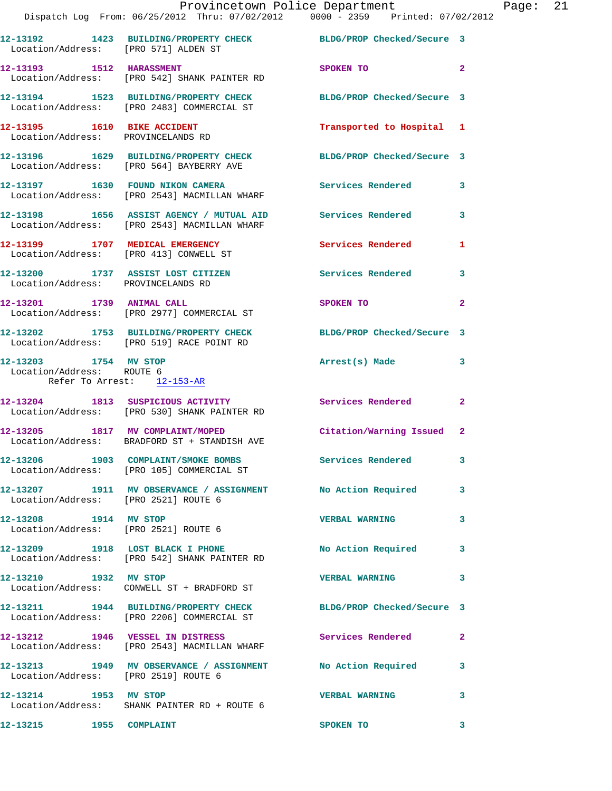|                                                                                  |                                                                                                            | Provincetown Police Department<br>Dispatch Log From: 06/25/2012 Thru: 07/02/2012 0000 - 2359 Printed: 07/02/2012 |              |
|----------------------------------------------------------------------------------|------------------------------------------------------------------------------------------------------------|------------------------------------------------------------------------------------------------------------------|--------------|
|                                                                                  |                                                                                                            |                                                                                                                  |              |
|                                                                                  |                                                                                                            | 12-13192   1423   BUILDING/PROPERTY CHECK   BLDG/PROP Checked/Secure   3<br>Location/Address: [PRO 571] ALDEN ST |              |
|                                                                                  | 12-13193 1512 HARASSMENT<br>Location/Address: [PRO 542] SHANK PAINTER RD                                   | SPOKEN TO                                                                                                        | $\mathbf{2}$ |
|                                                                                  | 12-13194 1523 BUILDING/PROPERTY CHECK<br>Location/Address: [PRO 2483] COMMERCIAL ST                        | BLDG/PROP Checked/Secure 3                                                                                       |              |
| 12-13195 1610 BIKE ACCIDENT<br>Location/Address: PROVINCELANDS RD                |                                                                                                            | Transported to Hospital 1                                                                                        |              |
|                                                                                  | 12-13196 1629 BUILDING/PROPERTY CHECK<br>Location/Address: [PRO 564] BAYBERRY AVE                          | BLDG/PROP Checked/Secure 3                                                                                       |              |
|                                                                                  | 12-13197 1630 FOUND NIKON CAMERA<br>Location/Address: [PRO 2543] MACMILLAN WHARF                           | <b>Services Rendered</b>                                                                                         | 3            |
|                                                                                  | 12-13198 1656 ASSIST AGENCY / MUTUAL AID Services Rendered<br>Location/Address: [PRO 2543] MACMILLAN WHARF |                                                                                                                  | 3            |
|                                                                                  | 12-13199 1707 MEDICAL EMERGENCY<br>Location/Address: [PRO 413] CONWELL ST                                  | <b>Services Rendered</b>                                                                                         | 1            |
| Location/Address: PROVINCELANDS RD                                               | 12-13200 1737 ASSIST LOST CITIZEN                                                                          | Services Rendered                                                                                                | 3            |
|                                                                                  | 12-13201 1739 ANIMAL CALL<br>Location/Address: [PRO 2977] COMMERCIAL ST                                    | SPOKEN TO                                                                                                        | $\mathbf{2}$ |
|                                                                                  | 12-13202 1753 BUILDING/PROPERTY CHECK<br>Location/Address: [PRO 519] RACE POINT RD                         | BLDG/PROP Checked/Secure 3                                                                                       |              |
| 12-13203 1754 MV STOP<br>Location/Address: ROUTE 6<br>Refer To Arrest: 12-153-AR |                                                                                                            | Arrest(s) Made                                                                                                   | 3            |
|                                                                                  | 12-13204 1813 SUSPICIOUS ACTIVITY<br>Location/Address: [PRO 530] SHANK PAINTER RD                          | <b>Services Rendered</b>                                                                                         | $\mathbf{2}$ |
|                                                                                  | 12-13205 1817 MV COMPLAINT/MOPED<br>Location/Address: BRADFORD ST + STANDISH AVE                           | Citation/Warning Issued                                                                                          | $\mathbf{2}$ |
|                                                                                  | 12-13206 1903 COMPLAINT/SMOKE BOMBS Services Rendered<br>Location/Address: [PRO 105] COMMERCIAL ST         |                                                                                                                  | 3            |
| Location/Address: [PRO 2521] ROUTE 6                                             |                                                                                                            | 12-13207 1911 MV OBSERVANCE / ASSIGNMENT No Action Required                                                      | 3            |
| 12-13208 1914 MV STOP<br>Location/Address: [PRO 2521] ROUTE 6                    |                                                                                                            | <b>VERBAL WARNING</b>                                                                                            | 3            |
|                                                                                  | 12-13209 1918 LOST BLACK I PHONE<br>Location/Address: [PRO 542] SHANK PAINTER RD                           | No Action Required                                                                                               | 3            |
| 12-13210 1932 MV STOP                                                            | Location/Address: CONWELL ST + BRADFORD ST                                                                 | <b>VERBAL WARNING</b>                                                                                            | 3            |
|                                                                                  | 12-13211 1944 BUILDING/PROPERTY CHECK<br>Location/Address: [PRO 2206] COMMERCIAL ST                        | BLDG/PROP Checked/Secure 3                                                                                       |              |
|                                                                                  | 12-13212 1946 VESSEL IN DISTRESS<br>Location/Address: [PRO 2543] MACMILLAN WHARF                           | Services Rendered                                                                                                | $\mathbf{2}$ |
| Location/Address: [PRO 2519] ROUTE 6                                             | 12-13213 1949 MV OBSERVANCE / ASSIGNMENT No Action Required                                                |                                                                                                                  | 3            |
| 12-13214 1953 MV STOP                                                            | Location/Address: SHANK PAINTER RD + ROUTE 6                                                               | <b>VERBAL WARNING</b>                                                                                            | 3            |
| 12-13215 1955 COMPLAINT                                                          |                                                                                                            | SPOKEN TO                                                                                                        | 3            |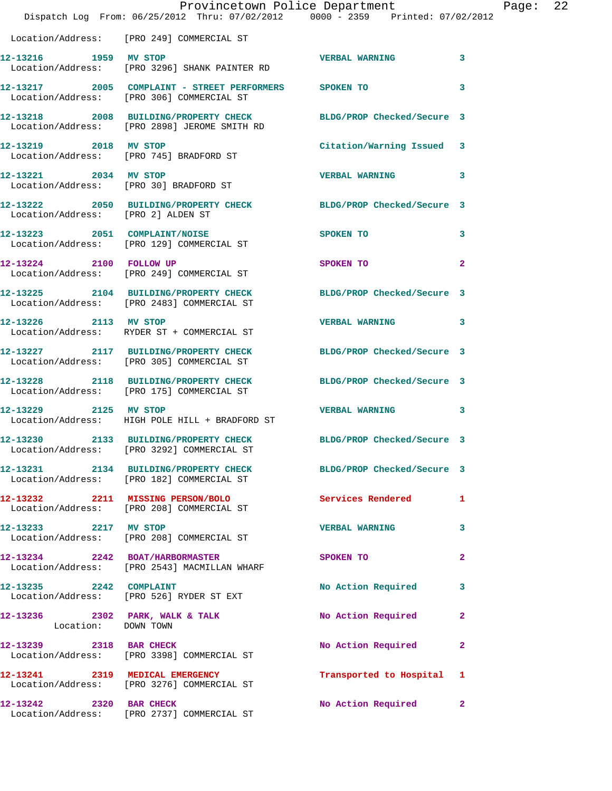|                                    | Provincetown Police Department<br>Dispatch Log From: 06/25/2012 Thru: 07/02/2012 0000 - 2359 Printed: 07/02/2012 |                           |              | Page: 22 |  |
|------------------------------------|------------------------------------------------------------------------------------------------------------------|---------------------------|--------------|----------|--|
|                                    | Location/Address: [PRO 249] COMMERCIAL ST                                                                        |                           |              |          |  |
| 12-13216 1959 MV STOP              | Location/Address: [PRO 3296] SHANK PAINTER RD                                                                    | <b>VERBAL WARNING</b>     | 3            |          |  |
|                                    | 12-13217 2005 COMPLAINT - STREET PERFORMERS SPOKEN TO<br>Location/Address: [PRO 306] COMMERCIAL ST               |                           | 3            |          |  |
|                                    | 12-13218 2008 BUILDING/PROPERTY CHECK BLDG/PROP Checked/Secure 3<br>Location/Address: [PRO 2898] JEROME SMITH RD |                           |              |          |  |
| 12-13219 2018 MV STOP              | Location/Address: [PRO 745] BRADFORD ST                                                                          | Citation/Warning Issued 3 |              |          |  |
| 12-13221 2034 MV STOP              | Location/Address: [PRO 30] BRADFORD ST                                                                           | <b>VERBAL WARNING</b>     | 3            |          |  |
| Location/Address: [PRO 2] ALDEN ST | 12-13222 2050 BUILDING/PROPERTY CHECK BLDG/PROP Checked/Secure 3                                                 |                           |              |          |  |
|                                    | 12-13223 2051 COMPLAINT/NOISE<br>Location/Address: [PRO 129] COMMERCIAL ST                                       | SPOKEN TO                 | 3            |          |  |
|                                    | 12-13224 2100 FOLLOW UP<br>Location/Address: [PRO 249] COMMERCIAL ST                                             | SPOKEN TO                 | $\mathbf{2}$ |          |  |
|                                    | 12-13225 2104 BUILDING/PROPERTY CHECK BLDG/PROP Checked/Secure 3<br>Location/Address: [PRO 2483] COMMERCIAL ST   |                           |              |          |  |
|                                    | 12-13226 2113 MV STOP<br>Location/Address: RYDER ST + COMMERCIAL ST                                              | <b>VERBAL WARNING</b>     | 3            |          |  |
|                                    | 12-13227 2117 BUILDING/PROPERTY CHECK BLDG/PROP Checked/Secure 3<br>Location/Address: [PRO 305] COMMERCIAL ST    |                           |              |          |  |
|                                    | 12-13228 2118 BUILDING/PROPERTY CHECK BLDG/PROP Checked/Secure 3<br>Location/Address: [PRO 175] COMMERCIAL ST    |                           |              |          |  |
| 12-13229 2125 MV STOP              | Location/Address: HIGH POLE HILL + BRADFORD ST                                                                   | <b>VERBAL WARNING</b>     | 3            |          |  |
|                                    | 12-13230 2133 BUILDING/PROPERTY CHECK BLDG/PROP Checked/Secure 3<br>Location/Address: [PRO 3292] COMMERCIAL ST   |                           |              |          |  |
|                                    | 12-13231 2134 BUILDING/PROPERTY CHECK BLDG/PROP Checked/Secure 3<br>Location/Address: [PRO 182] COMMERCIAL ST    |                           |              |          |  |
|                                    | 12-13232 2211 MISSING PERSON/BOLO<br>Location/Address: [PRO 208] COMMERCIAL ST                                   | Services Rendered         | 1            |          |  |
| 12-13233 2217 MV STOP              | Location/Address: [PRO 208] COMMERCIAL ST                                                                        | <b>VERBAL WARNING</b>     | 3            |          |  |
|                                    | 12-13234 2242 BOAT/HARBORMASTER<br>Location/Address: [PRO 2543] MACMILLAN WHARF                                  | SPOKEN TO                 | $\mathbf{2}$ |          |  |
|                                    | 12-13235 2242 COMPLAINT<br>Location/Address: [PRO 526] RYDER ST EXT                                              | No Action Required        | 3            |          |  |
| Location: DOWN TOWN                | 12-13236 2302 PARK, WALK & TALK                                                                                  | No Action Required        | 2            |          |  |
| 12-13239 2318 BAR CHECK            | Location/Address: [PRO 3398] COMMERCIAL ST                                                                       | No Action Required        | $\mathbf{2}$ |          |  |
|                                    | 12-13241 2319 MEDICAL EMERGENCY<br>Location/Address: [PRO 3276] COMMERCIAL ST                                    | Transported to Hospital 1 |              |          |  |
| 12-13242 2320 BAR CHECK            | Location/Address: [PRO 2737] COMMERCIAL ST                                                                       | No Action Required        | $\mathbf{2}$ |          |  |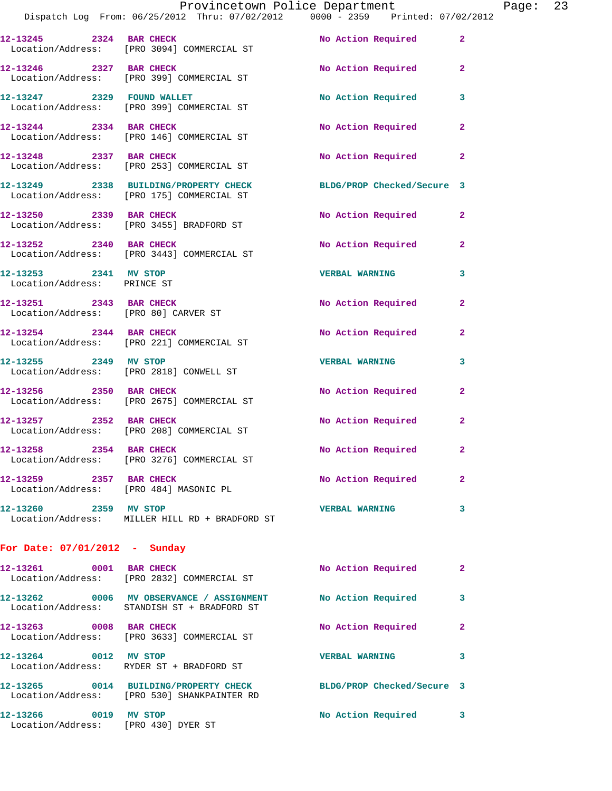|                                                                 |                                                                                                               | Provincetown Police Department |              | Page: 23 |  |
|-----------------------------------------------------------------|---------------------------------------------------------------------------------------------------------------|--------------------------------|--------------|----------|--|
|                                                                 | Dispatch Log From: 06/25/2012 Thru: 07/02/2012 0000 - 2359 Printed: 07/02/2012                                |                                |              |          |  |
| 12-13245 2324 BAR CHECK                                         | Location/Address: [PRO 3094] COMMERCIAL ST                                                                    | No Action Required             | $\mathbf{2}$ |          |  |
| 12-13246 2327 BAR CHECK                                         | Location/Address: [PRO 399] COMMERCIAL ST                                                                     | No Action Required             | $\mathbf{2}$ |          |  |
|                                                                 | 12-13247 2329 FOUND WALLET<br>Location/Address: [PRO 399] COMMERCIAL ST                                       | No Action Required             | 3            |          |  |
| 12-13244 2334 BAR CHECK                                         | Location/Address: [PRO 146] COMMERCIAL ST                                                                     | No Action Required             | $\mathbf{2}$ |          |  |
|                                                                 | 12-13248 2337 BAR CHECK<br>Location/Address: [PRO 253] COMMERCIAL ST                                          | No Action Required             | $\mathbf{2}$ |          |  |
|                                                                 | 12-13249 2338 BUILDING/PROPERTY CHECK BLDG/PROP Checked/Secure 3<br>Location/Address: [PRO 175] COMMERCIAL ST |                                |              |          |  |
| 12-13250 2339 BAR CHECK                                         | Location/Address: [PRO 3455] BRADFORD ST                                                                      | No Action Required             | $\mathbf{2}$ |          |  |
|                                                                 | 12-13252 2340 BAR CHECK<br>Location/Address: [PRO 3443] COMMERCIAL ST                                         | No Action Required             | $\mathbf{2}$ |          |  |
| 12-13253 2341 MV STOP<br>Location/Address: PRINCE ST            |                                                                                                               | <b>VERBAL WARNING</b>          | 3            |          |  |
| 12-13251 2343 BAR CHECK<br>Location/Address: [PRO 80] CARVER ST |                                                                                                               | No Action Required             | $\mathbf{2}$ |          |  |
| 12-13254 2344 BAR CHECK                                         | Location/Address: [PRO 221] COMMERCIAL ST                                                                     | No Action Required             | $\mathbf{2}$ |          |  |
|                                                                 | 12-13255 2349 MV STOP<br>Location/Address: [PRO 2818] CONWELL ST                                              | <b>VERBAL WARNING</b>          | 3            |          |  |
| 12-13256 2350 BAR CHECK                                         | Location/Address: [PRO 2675] COMMERCIAL ST                                                                    | No Action Required             | $\mathbf{2}$ |          |  |
|                                                                 | 12-13257 2352 BAR CHECK<br>Location/Address: [PRO 208] COMMERCIAL ST                                          | No Action Required             | $\mathbf{2}$ |          |  |
| 12-13258 2354 BAR CHECK                                         | Location/Address: [PRO 3276] COMMERCIAL ST                                                                    | No Action Required             |              |          |  |
| 12-13259 2357 BAR CHECK                                         | Location/Address: [PRO 484] MASONIC PL                                                                        | No Action Required             | $\mathbf{2}$ |          |  |
| 12-13260 2359 MV STOP                                           | Location/Address: MILLER HILL RD + BRADFORD ST                                                                | <b>VERBAL WARNING</b>          | 3            |          |  |
| For Date: $07/01/2012$ - Sunday                                 |                                                                                                               |                                |              |          |  |
| 12-13261 0001 BAR CHECK                                         | Location/Address: [PRO 2832] COMMERCIAL ST                                                                    | No Action Required             | $\mathbf{2}$ |          |  |
|                                                                 | 12-13262 0006 MV OBSERVANCE / ASSIGNMENT No Action Required<br>Location/Address: STANDISH ST + BRADFORD ST    |                                | 3            |          |  |
| 12-13263 0008 BAR CHECK                                         | Location/Address: [PRO 3633] COMMERCIAL ST                                                                    | No Action Required             | $\mathbf{2}$ |          |  |
| 12-13264 0012 MV STOP                                           | Location/Address: RYDER ST + BRADFORD ST                                                                      | <b>VERBAL WARNING</b>          | 3            |          |  |
|                                                                 | 12-13265 0014 BUILDING/PROPERTY CHECK<br>Location/Address: [PRO 530] SHANKPAINTER RD                          | BLDG/PROP Checked/Secure 3     |              |          |  |
| 12-13266 0019 MV STOP<br>Location/Address: [PRO 430] DYER ST    |                                                                                                               | No Action Required             | 3            |          |  |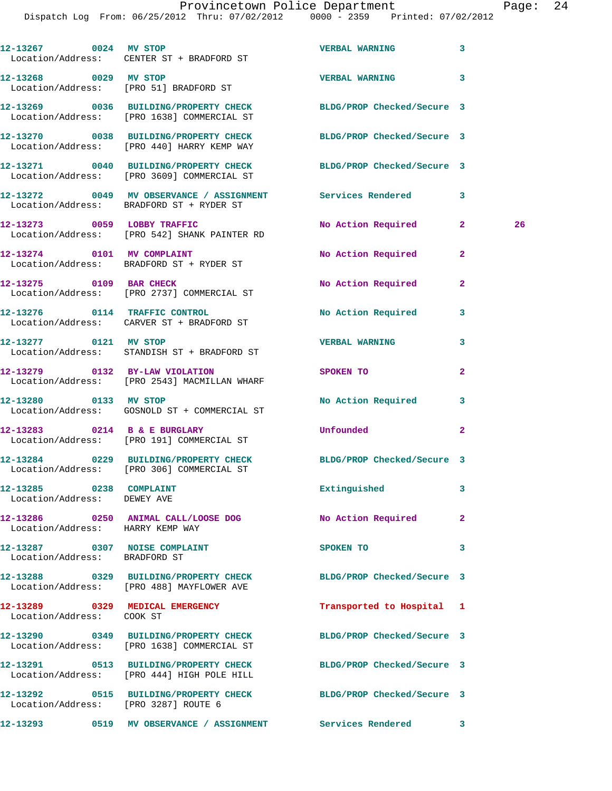Dispatch Log From: 06/25/2012 Thru: 07/02/2012 0000 - 2359 Printed: 07/02/2012

|                                                        | 12-13267 0024 MV STOP<br>Location/Address: CENTER ST + BRADFORD ST                                             | VERBAL WARNING 3           |              |    |
|--------------------------------------------------------|----------------------------------------------------------------------------------------------------------------|----------------------------|--------------|----|
|                                                        |                                                                                                                | VERBAL WARNING 3           |              |    |
|                                                        | 12-13269 0036 BUILDING/PROPERTY CHECK BLDG/PROP Checked/Secure 3<br>Location/Address: [PRO 1638] COMMERCIAL ST |                            |              |    |
|                                                        | 12-13270 0038 BUILDING/PROPERTY CHECK<br>Location/Address: [PRO 440] HARRY KEMP WAY                            | BLDG/PROP Checked/Secure 3 |              |    |
|                                                        | 12-13271 0040 BUILDING/PROPERTY CHECK<br>Location/Address: [PRO 3609] COMMERCIAL ST                            | BLDG/PROP Checked/Secure 3 |              |    |
|                                                        | 12-13272 0049 MV OBSERVANCE / ASSIGNMENT Services Rendered 3<br>Location/Address: BRADFORD ST + RYDER ST       |                            |              |    |
|                                                        | 12-13273 0059 LOBBY TRAFFIC<br>Location/Address: [PRO 542] SHANK PAINTER RD                                    | No Action Required 2       |              | 26 |
|                                                        | 12-13274 0101 MV COMPLAINT<br>Location/Address: BRADFORD ST + RYDER ST                                         | No Action Required         | $\mathbf{2}$ |    |
|                                                        | 12-13275 0109 BAR CHECK<br>Location/Address: [PRO 2737] COMMERCIAL ST                                          | No Action Required         | $\mathbf{2}$ |    |
|                                                        | 12-13276 0114 TRAFFIC CONTROL<br>Location/Address: CARVER ST + BRADFORD ST                                     | No Action Required 3       |              |    |
|                                                        | 12-13277 0121 MV STOP<br>Location/Address: STANDISH ST + BRADFORD ST                                           | <b>VERBAL WARNING</b>      | 3            |    |
|                                                        | 12-13279 0132 BY-LAW VIOLATION<br>Location/Address: [PRO 2543] MACMILLAN WHARF                                 | SPOKEN TO                  | $\mathbf{2}$ |    |
|                                                        | 12-13280 0133 MV STOP<br>Location/Address: GOSNOLD ST + COMMERCIAL ST                                          | <b>No Action Required</b>  | 3            |    |
|                                                        | 12-13283 0214 B & E BURGLARY<br>Location/Address: [PRO 191] COMMERCIAL ST                                      | Unfounded                  | $\mathbf{2}$ |    |
|                                                        | 12-13284 0229 BUILDING/PROPERTY CHECK<br>Location/Address: [PRO 306] COMMERCIAL ST                             | BLDG/PROP Checked/Secure 3 |              |    |
| 12-13285 0238 COMPLAINT<br>Location/Address: DEWEY AVE |                                                                                                                | Extinguished               | 3            |    |
| Location/Address: HARRY KEMP WAY                       | 12-13286 0250 ANIMAL CALL/LOOSE DOG                                                                            | No Action Required         | $\mathbf{2}$ |    |
| Location/Address: BRADFORD ST                          | 12-13287 0307 NOISE COMPLAINT                                                                                  | SPOKEN TO                  | 3            |    |
|                                                        | 12-13288 0329 BUILDING/PROPERTY CHECK<br>Location/Address: [PRO 488] MAYFLOWER AVE                             | BLDG/PROP Checked/Secure 3 |              |    |
| Location/Address: COOK ST                              | 12-13289 0329 MEDICAL EMERGENCY                                                                                | Transported to Hospital 1  |              |    |
|                                                        | 12-13290 0349 BUILDING/PROPERTY CHECK<br>Location/Address: [PRO 1638] COMMERCIAL ST                            | BLDG/PROP Checked/Secure 3 |              |    |
|                                                        | 12-13291 0513 BUILDING/PROPERTY CHECK<br>Location/Address: [PRO 444] HIGH POLE HILL                            | BLDG/PROP Checked/Secure 3 |              |    |
|                                                        | 12-13292 0515 BUILDING/PROPERTY CHECK<br>Location/Address: [PRO 3287] ROUTE 6                                  | BLDG/PROP Checked/Secure 3 |              |    |
|                                                        |                                                                                                                | <b>Services Rendered</b>   | 3            |    |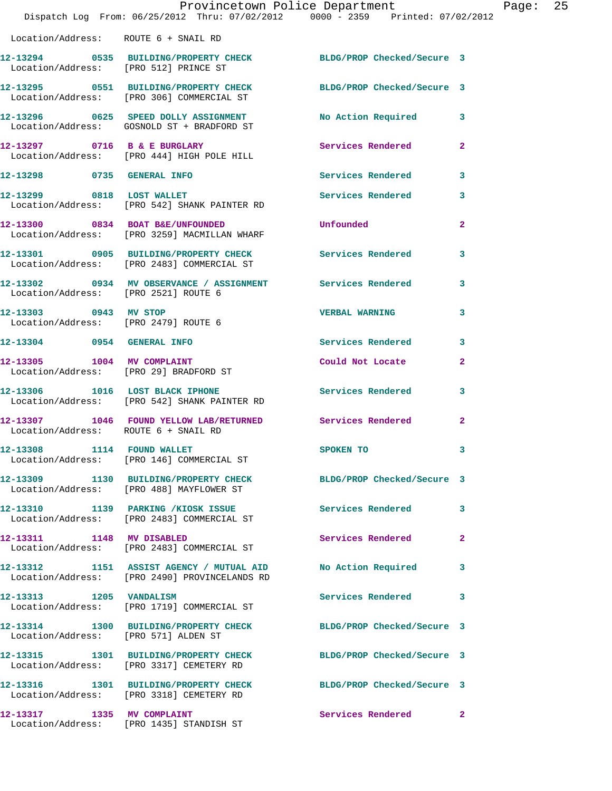|                                                               | Provincetown Police Department<br>Dispatch Log From: 06/25/2012 Thru: 07/02/2012 0000 - 2359 Printed: 07/02/2012 |                            |                |
|---------------------------------------------------------------|------------------------------------------------------------------------------------------------------------------|----------------------------|----------------|
| Location/Address: ROUTE 6 + SNAIL RD                          |                                                                                                                  |                            |                |
|                                                               | 12-13294 0535 BUILDING/PROPERTY CHECK<br>Location/Address: [PRO 512] PRINCE ST                                   | BLDG/PROP Checked/Secure 3 |                |
|                                                               | 12-13295 0551 BUILDING/PROPERTY CHECK BLDG/PROP Checked/Secure 3<br>Location/Address: [PRO 306] COMMERCIAL ST    |                            |                |
|                                                               | 12-13296 0625 SPEED DOLLY ASSIGNMENT<br>Location/Address: GOSNOLD ST + BRADFORD ST                               | No Action Required         | 3              |
|                                                               | 12-13297 0716 B & E BURGLARY<br>Location/Address: [PRO 444] HIGH POLE HILL                                       | Services Rendered          | 2              |
| 12-13298 0735 GENERAL INFO                                    |                                                                                                                  | <b>Services Rendered</b>   | 3              |
| 12-13299 0818 LOST WALLET                                     | Location/Address: [PRO 542] SHANK PAINTER RD                                                                     | <b>Services Rendered</b>   | 3              |
|                                                               | 12-13300 0834 BOAT B&E/UNFOUNDED<br>Location/Address: [PRO 3259] MACMILLAN WHARF                                 | Unfounded                  | $\overline{2}$ |
|                                                               | 12-13301 0905 BUILDING/PROPERTY CHECK Services Rendered<br>Location/Address: [PRO 2483] COMMERCIAL ST            |                            | 3              |
| Location/Address: [PRO 2521] ROUTE 6                          | 12-13302 0934 MV OBSERVANCE / ASSIGNMENT Services Rendered                                                       |                            | 3              |
| 12-13303 0943 MV STOP<br>Location/Address: [PRO 2479] ROUTE 6 |                                                                                                                  | <b>VERBAL WARNING</b>      | 3              |
| 12-13304 0954 GENERAL INFO                                    |                                                                                                                  | Services Rendered          | 3              |
| 12-13305 1004 MV COMPLAINT                                    | Location/Address: [PRO 29] BRADFORD ST                                                                           | Could Not Locate           | 2              |
|                                                               | 12-13306 1016 LOST BLACK IPHONE<br>Location/Address: [PRO 542] SHANK PAINTER RD                                  | Services Rendered          | 3              |
| Location/Address: ROUTE 6 + SNAIL RD                          | 12-13307 1046 FOUND YELLOW LAB/RETURNED Services Rendered                                                        |                            | $\mathbf{2}$   |
| 12-13308 1114 FOUND WALLET                                    | Location/Address: [PRO 146] COMMERCIAL ST                                                                        | SPOKEN TO                  | 3              |
|                                                               | 12-13309 1130 BUILDING/PROPERTY CHECK BLDG/PROP Checked/Secure 3<br>Location/Address: [PRO 488] MAYFLOWER ST     |                            |                |
|                                                               | 12-13310 1139 PARKING /KIOSK ISSUE<br>Location/Address: [PRO 2483] COMMERCIAL ST                                 | <b>Services Rendered</b>   | 3              |
| 12-13311 1148 MV DISABLED                                     | Location/Address: [PRO 2483] COMMERCIAL ST                                                                       | Services Rendered          | $\mathbf{2}$   |
|                                                               | 12-13312 1151 ASSIST AGENCY / MUTUAL AID<br>Location/Address: [PRO 2490] PROVINCELANDS RD                        | No Action Required         | 3              |
| 12-13313 1205 VANDALISM                                       | Location/Address: [PRO 1719] COMMERCIAL ST                                                                       | <b>Services Rendered</b>   | 3              |
| Location/Address: [PRO 571] ALDEN ST                          | 12-13314 1300 BUILDING/PROPERTY CHECK                                                                            | BLDG/PROP Checked/Secure 3 |                |
|                                                               | 12-13315 1301 BUILDING/PROPERTY CHECK<br>Location/Address: [PRO 3317] CEMETERY RD                                | BLDG/PROP Checked/Secure 3 |                |
|                                                               | 12-13316 1301 BUILDING/PROPERTY CHECK<br>Location/Address: [PRO 3318] CEMETERY RD                                | BLDG/PROP Checked/Secure 3 |                |
| 12-13317 1335 MV COMPLAINT                                    | Location/Address: [PRO 1435] STANDISH ST                                                                         | Services Rendered          | $\mathbf{2}$   |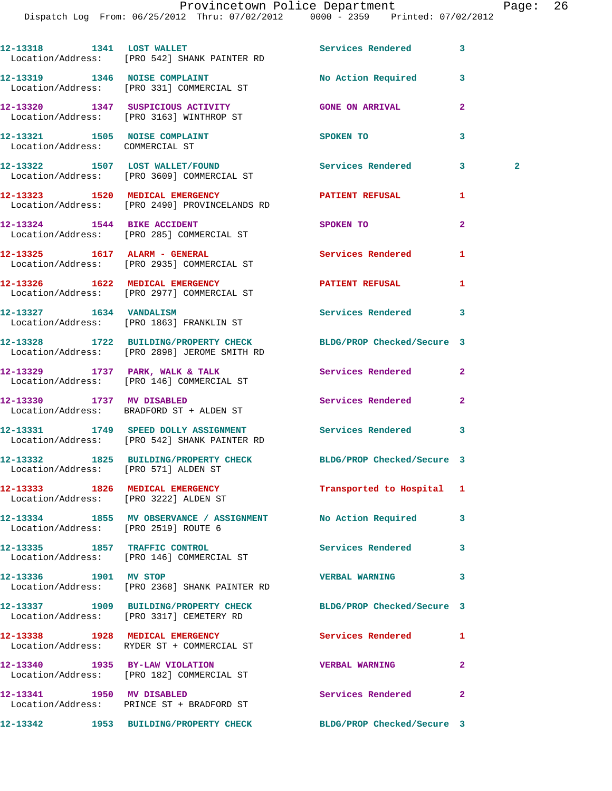|                                                                  | 12-13318 1341 LOST WALLET<br>Location/Address: [PRO 542] SHANK PAINTER RD                              | Services Rendered          | $\overline{\mathbf{3}}$ |              |
|------------------------------------------------------------------|--------------------------------------------------------------------------------------------------------|----------------------------|-------------------------|--------------|
|                                                                  | 12-13319 1346 NOISE COMPLAINT<br>Location/Address: [PRO 331] COMMERCIAL ST                             | No Action Required         | 3                       |              |
|                                                                  | 12-13320 1347 SUSPICIOUS ACTIVITY<br>Location/Address: [PRO 3163] WINTHROP ST                          | <b>GONE ON ARRIVAL</b>     | $\overline{a}$          |              |
| 12-13321 1505 NOISE COMPLAINT<br>Location/Address: COMMERCIAL ST |                                                                                                        | SPOKEN TO                  | 3                       |              |
|                                                                  | 12-13322 1507 LOST WALLET/FOUND<br>Location/Address: [PRO 3609] COMMERCIAL ST                          | <b>Services Rendered</b>   | 3                       | $\mathbf{2}$ |
|                                                                  | 12-13323 1520 MEDICAL EMERGENCY<br>Location/Address: [PRO 2490] PROVINCELANDS RD                       | <b>PATIENT REFUSAL</b>     | 1                       |              |
|                                                                  | 12-13324 1544 BIKE ACCIDENT<br>Location/Address: [PRO 285] COMMERCIAL ST                               | <b>SPOKEN TO</b>           | $\overline{a}$          |              |
|                                                                  | 12-13325    1617    ALARM - GENERAL<br>Location/Address: [PRO 2935] COMMERCIAL ST                      | <b>Services Rendered</b>   | 1                       |              |
|                                                                  | 12-13326 1622 MEDICAL EMERGENCY<br>Location/Address: [PRO 2977] COMMERCIAL ST                          | PATIENT REFUSAL            | 1                       |              |
|                                                                  | 12-13327 1634 VANDALISM<br>Location/Address: [PRO 1863] FRANKLIN ST                                    | Services Rendered          | 3                       |              |
|                                                                  | 12-13328 1722 BUILDING/PROPERTY CHECK<br>Location/Address: [PRO 2898] JEROME SMITH RD                  | BLDG/PROP Checked/Secure 3 |                         |              |
|                                                                  | 12-13329 1737 PARK, WALK & TALK<br>Location/Address: [PRO 146] COMMERCIAL ST                           | <b>Services Rendered</b>   | $\overline{2}$          |              |
| 12-13330 1737 MV DISABLED                                        | Location/Address: BRADFORD ST + ALDEN ST                                                               | Services Rendered          | $\overline{a}$          |              |
|                                                                  | 12-13331 1749 SPEED DOLLY ASSIGNMENT Services Rendered<br>Location/Address: [PRO 542] SHANK PAINTER RD |                            | $\overline{\mathbf{3}}$ |              |
| Location/Address: [PRO 571] ALDEN ST                             | 12-13332 1825 BUILDING/PROPERTY CHECK BLDG/PROP Checked/Secure 3                                       |                            |                         |              |
| Location/Address: [PRO 3222] ALDEN ST                            | 12-13333 1826 MEDICAL EMERGENCY                                                                        | Transported to Hospital    | 1                       |              |
| Location/Address: [PRO 2519] ROUTE 6                             | 12-13334 1855 MV OBSERVANCE / ASSIGNMENT No Action Required                                            |                            | 3                       |              |
|                                                                  | 12-13335 1857 TRAFFIC CONTROL<br>Location/Address: [PRO 146] COMMERCIAL ST                             | Services Rendered          | 3                       |              |
| 12-13336 1901 MV STOP                                            | Location/Address: [PRO 2368] SHANK PAINTER RD                                                          | <b>VERBAL WARNING</b>      | 3                       |              |
|                                                                  | 12-13337 1909 BUILDING/PROPERTY CHECK<br>Location/Address: [PRO 3317] CEMETERY RD                      | BLDG/PROP Checked/Secure 3 |                         |              |
|                                                                  | 12-13338 1928 MEDICAL EMERGENCY<br>Location/Address: RYDER ST + COMMERCIAL ST                          | Services Rendered          | 1                       |              |
|                                                                  | 12-13340 1935 BY-LAW VIOLATION<br>Location/Address: [PRO 182] COMMERCIAL ST                            | <b>VERBAL WARNING</b>      | 2                       |              |
| 12-13341 1950 MV DISABLED                                        | Location/Address: PRINCE ST + BRADFORD ST                                                              | Services Rendered          | $\mathbf{2}$            |              |
|                                                                  | 12-13342 1953 BUILDING/PROPERTY CHECK BLDG/PROP Checked/Secure 3                                       |                            |                         |              |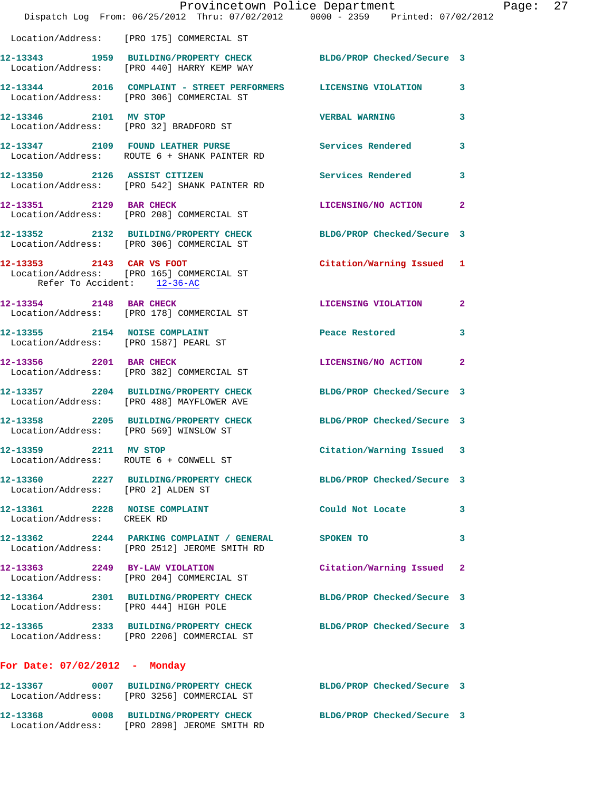|                                                                    | Provincetown Police Department<br>Dispatch Log From: 06/25/2012 Thru: 07/02/2012 0000 - 2359 Printed: 07/02/2012 |                            |              |
|--------------------------------------------------------------------|------------------------------------------------------------------------------------------------------------------|----------------------------|--------------|
|                                                                    | Location/Address: [PRO 175] COMMERCIAL ST                                                                        |                            |              |
|                                                                    | 12-13343 1959 BUILDING/PROPERTY CHECK<br>Location/Address: [PRO 440] HARRY KEMP WAY                              | BLDG/PROP Checked/Secure 3 |              |
|                                                                    | 12-13344 2016 COMPLAINT - STREET PERFORMERS LICENSING VIOLATION<br>Location/Address: [PRO 306] COMMERCIAL ST     |                            | 3            |
| 12-13346 2101 MV STOP                                              | Location/Address: [PRO 32] BRADFORD ST                                                                           | <b>VERBAL WARNING</b>      | 3            |
|                                                                    | 12-13347 2109 FOUND LEATHER PURSE<br>Location/Address: ROUTE 6 + SHANK PAINTER RD                                | <b>Services Rendered</b>   | 3            |
|                                                                    | 12-13350 2126 ASSIST CITIZEN<br>Location/Address: [PRO 542] SHANK PAINTER RD                                     | <b>Services Rendered</b>   | 3            |
| 12-13351 2129 BAR CHECK                                            | Location/Address: [PRO 208] COMMERCIAL ST                                                                        | LICENSING/NO ACTION        | $\mathbf{2}$ |
|                                                                    | 12-13352 2132 BUILDING/PROPERTY CHECK BLDG/PROP Checked/Secure 3<br>Location/Address: [PRO 306] COMMERCIAL ST    |                            |              |
| Refer To Accident: 12-36-AC                                        | 12-13353 2143 CAR VS FOOT<br>Location/Address: [PRO 165] COMMERCIAL ST                                           | Citation/Warning Issued    | 1            |
| 12-13354 2148 BAR CHECK                                            | Location/Address: [PRO 178] COMMERCIAL ST                                                                        | LICENSING VIOLATION        | $\mathbf{2}$ |
| 12-13355 2154 NOISE COMPLAINT                                      | Location/Address: [PRO 1587] PEARL ST                                                                            | Peace Restored             | 3            |
| 12-13356 2201 BAR CHECK                                            | Location/Address: [PRO 382] COMMERCIAL ST                                                                        | LICENSING/NO ACTION        | $\mathbf{2}$ |
|                                                                    | 12-13357 2204 BUILDING/PROPERTY CHECK<br>Location/Address: [PRO 488] MAYFLOWER AVE                               | BLDG/PROP Checked/Secure 3 |              |
| Location/Address: [PRO 569] WINSLOW ST                             | 12-13358 2205 BUILDING/PROPERTY CHECK                                                                            | BLDG/PROP Checked/Secure 3 |              |
| 12-13359<br>2211 MV STOP<br>Location/Address: ROUTE 6 + CONWELL ST |                                                                                                                  | Citation/Warning Issued    |              |
| Location/Address: [PRO 2] ALDEN ST                                 | 12-13360 2227 BUILDING/PROPERTY CHECK BLDG/PROP Checked/Secure 3                                                 |                            |              |
| 12-13361 2228 NOISE COMPLAINT<br>Location/Address: CREEK RD        |                                                                                                                  | Could Not Locate           | 3            |
|                                                                    | 12-13362 2244 PARKING COMPLAINT / GENERAL<br>Location/Address: [PRO 2512] JEROME SMITH RD                        | SPOKEN TO                  | 3            |
|                                                                    | 12-13363 2249 BY-LAW VIOLATION<br>Location/Address: [PRO 204] COMMERCIAL ST                                      | Citation/Warning Issued    | $\mathbf{2}$ |
| Location/Address: [PRO 444] HIGH POLE                              | 12-13364 2301 BUILDING/PROPERTY CHECK                                                                            | BLDG/PROP Checked/Secure 3 |              |
|                                                                    | 12-13365 2333 BUILDING/PROPERTY CHECK<br>Location/Address: [PRO 2206] COMMERCIAL ST                              | BLDG/PROP Checked/Secure 3 |              |
| For Date: $07/02/2012$ - Monday                                    |                                                                                                                  |                            |              |
|                                                                    | 12-13367 0007 BUILDING/PROPERTY CHECK<br>Location/Address: [PRO 3256] COMMERCIAL ST                              | BLDG/PROP Checked/Secure 3 |              |

**12-13368 0008 BUILDING/PROPERTY CHECK BLDG/PROP Checked/Secure 3** 

Location/Address: [PRO 2898] JEROME SMITH RD

Page:  $27$ <br>012